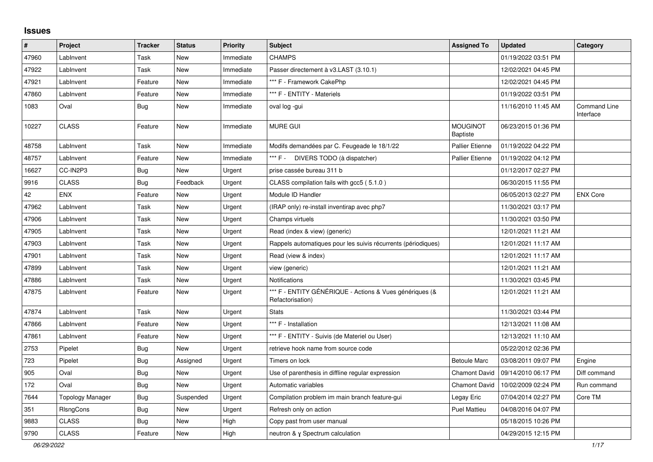## **Issues**

| $\vert$ # | Project          | <b>Tracker</b> | <b>Status</b> | <b>Priority</b> | <b>Subject</b>                                                              | <b>Assigned To</b>                 | <b>Updated</b>      | Category                         |
|-----------|------------------|----------------|---------------|-----------------|-----------------------------------------------------------------------------|------------------------------------|---------------------|----------------------------------|
| 47960     | LabInvent        | Task           | New           | Immediate       | <b>CHAMPS</b>                                                               |                                    | 01/19/2022 03:51 PM |                                  |
| 47922     | LabInvent        | Task           | New           | Immediate       | Passer directement à v3.LAST (3.10.1)                                       |                                    | 12/02/2021 04:45 PM |                                  |
| 47921     | LabInvent        | Feature        | New           | Immediate       | *** F - Framework CakePhp                                                   |                                    | 12/02/2021 04:45 PM |                                  |
| 47860     | LabInvent        | Feature        | New           | Immediate       | *** F - ENTITY - Materiels                                                  |                                    | 01/19/2022 03:51 PM |                                  |
| 1083      | Oval             | Bug            | New           | Immediate       | oval log -gui                                                               |                                    | 11/16/2010 11:45 AM | <b>Command Line</b><br>Interface |
| 10227     | <b>CLASS</b>     | Feature        | New           | Immediate       | <b>MURE GUI</b>                                                             | <b>MOUGINOT</b><br><b>Baptiste</b> | 06/23/2015 01:36 PM |                                  |
| 48758     | LabInvent        | Task           | New           | Immediate       | Modifs demandées par C. Feugeade le 18/1/22                                 | <b>Pallier Etienne</b>             | 01/19/2022 04:22 PM |                                  |
| 48757     | LabInvent        | Feature        | New           | Immediate       | DIVERS TODO (à dispatcher)<br>*** F -                                       | <b>Pallier Etienne</b>             | 01/19/2022 04:12 PM |                                  |
| 16627     | CC-IN2P3         | Bug            | New           | Urgent          | prise cassée bureau 311 b                                                   |                                    | 01/12/2017 02:27 PM |                                  |
| 9916      | <b>CLASS</b>     | <b>Bug</b>     | Feedback      | Urgent          | CLASS compilation fails with gcc5 (5.1.0)                                   |                                    | 06/30/2015 11:55 PM |                                  |
| 42        | <b>ENX</b>       | Feature        | New           | Urgent          | Module ID Handler                                                           |                                    | 06/05/2013 02:27 PM | <b>ENX Core</b>                  |
| 47962     | LabInvent        | Task           | New           | Urgent          | (IRAP only) re-install inventirap avec php7                                 |                                    | 11/30/2021 03:17 PM |                                  |
| 47906     | LabInvent        | Task           | New           | Urgent          | Champs virtuels                                                             |                                    | 11/30/2021 03:50 PM |                                  |
| 47905     | LabInvent        | Task           | <b>New</b>    | Urgent          | Read (index & view) (generic)                                               |                                    | 12/01/2021 11:21 AM |                                  |
| 47903     | LabInvent        | Task           | New           | Urgent          | Rappels automatiques pour les suivis récurrents (périodiques)               |                                    | 12/01/2021 11:17 AM |                                  |
| 47901     | LabInvent        | Task           | New           | Urgent          | Read (view & index)                                                         |                                    | 12/01/2021 11:17 AM |                                  |
| 47899     | LabInvent        | Task           | New           | Urgent          | view (generic)                                                              |                                    | 12/01/2021 11:21 AM |                                  |
| 47886     | LabInvent        | Task           | New           | Urgent          | <b>Notifications</b>                                                        |                                    | 11/30/2021 03:45 PM |                                  |
| 47875     | LabInvent        | Feature        | New           | Urgent          | *** F - ENTITY GÉNÉRIQUE - Actions & Vues génériques (&<br>Refactorisation) |                                    | 12/01/2021 11:21 AM |                                  |
| 47874     | LabInvent        | Task           | <b>New</b>    | Urgent          | <b>Stats</b>                                                                |                                    | 11/30/2021 03:44 PM |                                  |
| 47866     | LabInvent        | Feature        | New           | Urgent          | *** F - Installation                                                        |                                    | 12/13/2021 11:08 AM |                                  |
| 47861     | LabInvent        | Feature        | New           | Urgent          | *** F - ENTITY - Suivis (de Materiel ou User)                               |                                    | 12/13/2021 11:10 AM |                                  |
| 2753      | Pipelet          | Bug            | <b>New</b>    | Urgent          | retrieve hook name from source code                                         |                                    | 05/22/2012 02:36 PM |                                  |
| 723       | Pipelet          | <b>Bug</b>     | Assigned      | Urgent          | Timers on lock                                                              | <b>Betoule Marc</b>                | 03/08/2011 09:07 PM | Engine                           |
| 905       | Oval             | Bug            | New           | Urgent          | Use of parenthesis in diffline regular expression                           | <b>Chamont David</b>               | 09/14/2010 06:17 PM | Diff command                     |
| 172       | Oval             | Bug            | New           | Urgent          | Automatic variables                                                         | <b>Chamont David</b>               | 10/02/2009 02:24 PM | Run command                      |
| 7644      | Topology Manager | Bug            | Suspended     | Urgent          | Compilation problem im main branch feature-gui                              | Legay Eric                         | 07/04/2014 02:27 PM | Core TM                          |
| 351       | RIsngCons        | <b>Bug</b>     | New           | Urgent          | Refresh only on action                                                      | <b>Puel Mattieu</b>                | 04/08/2016 04:07 PM |                                  |
| 9883      | <b>CLASS</b>     | Bug            | <b>New</b>    | High            | Copy past from user manual                                                  |                                    | 05/18/2015 10:26 PM |                                  |
| 9790      | <b>CLASS</b>     | Feature        | <b>New</b>    | High            | neutron & y Spectrum calculation                                            |                                    | 04/29/2015 12:15 PM |                                  |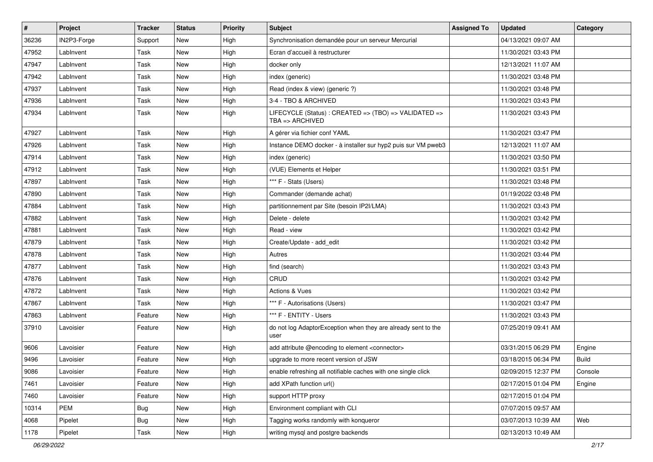| #     | Project     | <b>Tracker</b> | <b>Status</b> | <b>Priority</b> | <b>Subject</b>                                                                 | <b>Assigned To</b> | <b>Updated</b>      | Category     |
|-------|-------------|----------------|---------------|-----------------|--------------------------------------------------------------------------------|--------------------|---------------------|--------------|
| 36236 | IN2P3-Forge | Support        | New           | High            | Synchronisation demandée pour un serveur Mercurial                             |                    | 04/13/2021 09:07 AM |              |
| 47952 | LabInvent   | Task           | <b>New</b>    | High            | Ecran d'accueil à restructurer                                                 |                    | 11/30/2021 03:43 PM |              |
| 47947 | LabInvent   | Task           | <b>New</b>    | High            | docker only                                                                    |                    | 12/13/2021 11:07 AM |              |
| 47942 | LabInvent   | Task           | New           | High            | index (generic)                                                                |                    | 11/30/2021 03:48 PM |              |
| 47937 | LabInvent   | Task           | <b>New</b>    | High            | Read (index & view) (generic ?)                                                |                    | 11/30/2021 03:48 PM |              |
| 47936 | LabInvent   | Task           | <b>New</b>    | High            | 3-4 - TBO & ARCHIVED                                                           |                    | 11/30/2021 03:43 PM |              |
| 47934 | LabInvent   | Task           | <b>New</b>    | High            | LIFECYCLE (Status) : CREATED => (TBO) => VALIDATED =><br>$TBA \equiv RACHIVED$ |                    | 11/30/2021 03:43 PM |              |
| 47927 | LabInvent   | Task           | <b>New</b>    | High            | A gérer via fichier conf YAML                                                  |                    | 11/30/2021 03:47 PM |              |
| 47926 | LabInvent   | Task           | <b>New</b>    | High            | Instance DEMO docker - à installer sur hyp2 puis sur VM pweb3                  |                    | 12/13/2021 11:07 AM |              |
| 47914 | LabInvent   | Task           | <b>New</b>    | High            | index (generic)                                                                |                    | 11/30/2021 03:50 PM |              |
| 47912 | LabInvent   | Task           | New           | High            | (VUE) Elements et Helper                                                       |                    | 11/30/2021 03:51 PM |              |
| 47897 | LabInvent   | Task           | New           | High            | *** F - Stats (Users)                                                          |                    | 11/30/2021 03:48 PM |              |
| 47890 | LabInvent   | Task           | New           | High            | Commander (demande achat)                                                      |                    | 01/19/2022 03:48 PM |              |
| 47884 | LabInvent   | Task           | New           | High            | partitionnement par Site (besoin IP2I/LMA)                                     |                    | 11/30/2021 03:43 PM |              |
| 47882 | LabInvent   | Task           | <b>New</b>    | High            | Delete - delete                                                                |                    | 11/30/2021 03:42 PM |              |
| 47881 | LabInvent   | Task           | New           | High            | Read - view                                                                    |                    | 11/30/2021 03:42 PM |              |
| 47879 | LabInvent   | Task           | New           | High            | Create/Update - add_edit                                                       |                    | 11/30/2021 03:42 PM |              |
| 47878 | LabInvent   | Task           | New           | High            | Autres                                                                         |                    | 11/30/2021 03:44 PM |              |
| 47877 | LabInvent   | Task           | <b>New</b>    | High            | find (search)                                                                  |                    | 11/30/2021 03:43 PM |              |
| 47876 | LabInvent   | Task           | New           | High            | CRUD                                                                           |                    | 11/30/2021 03:42 PM |              |
| 47872 | LabInvent   | Task           | New           | High            | Actions & Vues                                                                 |                    | 11/30/2021 03:42 PM |              |
| 47867 | LabInvent   | Task           | New           | High            | *** F - Autorisations (Users)                                                  |                    | 11/30/2021 03:47 PM |              |
| 47863 | LabInvent   | Feature        | New           | High            | *** F - ENTITY - Users                                                         |                    | 11/30/2021 03:43 PM |              |
| 37910 | Lavoisier   | Feature        | New           | High            | do not log AdaptorException when they are already sent to the<br>user          |                    | 07/25/2019 09:41 AM |              |
| 9606  | Lavoisier   | Feature        | New           | High            | add attribute @encoding to element <connector></connector>                     |                    | 03/31/2015 06:29 PM | Engine       |
| 9496  | Lavoisier   | Feature        | New           | High            | upgrade to more recent version of JSW                                          |                    | 03/18/2015 06:34 PM | <b>Build</b> |
| 9086  | Lavoisier   | Feature        | New           | High            | enable refreshing all notifiable caches with one single click                  |                    | 02/09/2015 12:37 PM | Console      |
| 7461  | Lavoisier   | Feature        | New           | High            | add XPath function url()                                                       |                    | 02/17/2015 01:04 PM | Engine       |
| 7460  | Lavoisier   | Feature        | New           | High            | support HTTP proxy                                                             |                    | 02/17/2015 01:04 PM |              |
| 10314 | <b>PEM</b>  | <b>Bug</b>     | New           | High            | Environment compliant with CLI                                                 |                    | 07/07/2015 09:57 AM |              |
| 4068  | Pipelet     | <b>Bug</b>     | New           | High            | Tagging works randomly with konqueror                                          |                    | 03/07/2013 10:39 AM | Web          |
| 1178  | Pipelet     | Task           | New           | High            | writing mysql and postgre backends                                             |                    | 02/13/2013 10:49 AM |              |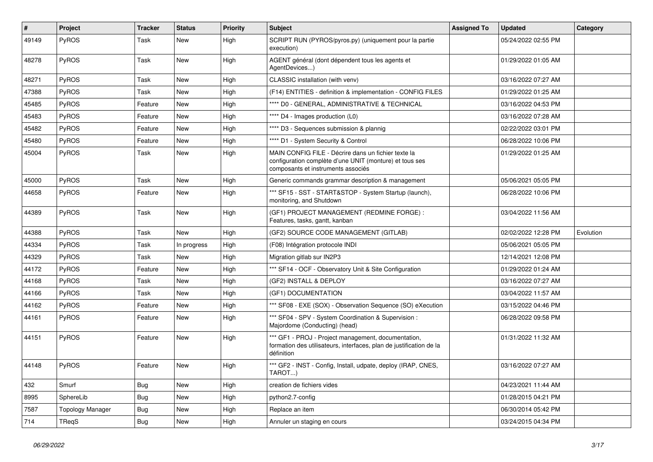| $\vert$ # | <b>Project</b>          | <b>Tracker</b> | <b>Status</b> | <b>Priority</b> | <b>Subject</b>                                                                                                                                       | <b>Assigned To</b> | <b>Updated</b>      | Category  |
|-----------|-------------------------|----------------|---------------|-----------------|------------------------------------------------------------------------------------------------------------------------------------------------------|--------------------|---------------------|-----------|
| 49149     | <b>PyROS</b>            | Task           | <b>New</b>    | High            | SCRIPT RUN (PYROS/pyros.py) (uniquement pour la partie<br>execution)                                                                                 |                    | 05/24/2022 02:55 PM |           |
| 48278     | <b>PyROS</b>            | Task           | New           | High            | AGENT général (dont dépendent tous les agents et<br>AgentDevices)                                                                                    |                    | 01/29/2022 01:05 AM |           |
| 48271     | <b>PyROS</b>            | Task           | New           | High            | CLASSIC installation (with venv)                                                                                                                     |                    | 03/16/2022 07:27 AM |           |
| 47388     | <b>PyROS</b>            | Task           | New           | High            | (F14) ENTITIES - definition & implementation - CONFIG FILES                                                                                          |                    | 01/29/2022 01:25 AM |           |
| 45485     | <b>PyROS</b>            | Feature        | New           | High            | **** D0 - GENERAL, ADMINISTRATIVE & TECHNICAL                                                                                                        |                    | 03/16/2022 04:53 PM |           |
| 45483     | <b>PyROS</b>            | Feature        | <b>New</b>    | High            | **** D4 - Images production (L0)                                                                                                                     |                    | 03/16/2022 07:28 AM |           |
| 45482     | <b>PyROS</b>            | Feature        | New           | High            | **** D3 - Sequences submission & plannig                                                                                                             |                    | 02/22/2022 03:01 PM |           |
| 45480     | PyROS                   | Feature        | New           | High            | **** D1 - System Security & Control                                                                                                                  |                    | 06/28/2022 10:06 PM |           |
| 45004     | <b>PyROS</b>            | Task           | New           | High            | MAIN CONFIG FILE - Décrire dans un fichier texte la<br>configuration complète d'une UNIT (monture) et tous ses<br>composants et instruments associés |                    | 01/29/2022 01:25 AM |           |
| 45000     | <b>PyROS</b>            | Task           | New           | High            | Generic commands grammar description & management                                                                                                    |                    | 05/06/2021 05:05 PM |           |
| 44658     | PyROS                   | Feature        | New           | High            | *** SF15 - SST - START&STOP - System Startup (launch),<br>monitoring, and Shutdown                                                                   |                    | 06/28/2022 10:06 PM |           |
| 44389     | <b>PyROS</b>            | Task           | New           | High            | (GF1) PROJECT MANAGEMENT (REDMINE FORGE) :<br>Features, tasks, gantt, kanban                                                                         |                    | 03/04/2022 11:56 AM |           |
| 44388     | <b>PyROS</b>            | Task           | <b>New</b>    | High            | (GF2) SOURCE CODE MANAGEMENT (GITLAB)                                                                                                                |                    | 02/02/2022 12:28 PM | Evolution |
| 44334     | <b>PyROS</b>            | Task           | In progress   | High            | (F08) Intégration protocole INDI                                                                                                                     |                    | 05/06/2021 05:05 PM |           |
| 44329     | <b>PyROS</b>            | Task           | <b>New</b>    | High            | Migration gitlab sur IN2P3                                                                                                                           |                    | 12/14/2021 12:08 PM |           |
| 44172     | <b>PyROS</b>            | Feature        | <b>New</b>    | High            | *** SF14 - OCF - Observatory Unit & Site Configuration                                                                                               |                    | 01/29/2022 01:24 AM |           |
| 44168     | PyROS                   | Task           | <b>New</b>    | High            | (GF2) INSTALL & DEPLOY                                                                                                                               |                    | 03/16/2022 07:27 AM |           |
| 44166     | PyROS                   | Task           | New           | High            | (GF1) DOCUMENTATION                                                                                                                                  |                    | 03/04/2022 11:57 AM |           |
| 44162     | PyROS                   | Feature        | New           | High            | *** SF08 - EXE (SOX) - Observation Sequence (SO) eXecution                                                                                           |                    | 03/15/2022 04:46 PM |           |
| 44161     | PyROS                   | Feature        | New           | High            | *** SF04 - SPV - System Coordination & Supervision :<br>Majordome (Conducting) (head)                                                                |                    | 06/28/2022 09:58 PM |           |
| 44151     | <b>PyROS</b>            | Feature        | New           | High            | *** GF1 - PROJ - Project management, documentation,<br>formation des utilisateurs, interfaces, plan de justification de la<br>définition             |                    | 01/31/2022 11:32 AM |           |
| 44148     | <b>PyROS</b>            | Feature        | <b>New</b>    | High            | *** GF2 - INST - Config, Install, udpate, deploy (IRAP, CNES,<br>TAROT)                                                                              |                    | 03/16/2022 07:27 AM |           |
| 432       | Smurf                   | Bug            | New           | High            | creation de fichiers vides                                                                                                                           |                    | 04/23/2021 11:44 AM |           |
| 8995      | SphereLib               | <b>Bug</b>     | New           | High            | python2.7-config                                                                                                                                     |                    | 01/28/2015 04:21 PM |           |
| 7587      | <b>Topology Manager</b> | Bug            | New           | High            | Replace an item                                                                                                                                      |                    | 06/30/2014 05:42 PM |           |
| 714       | TReqS                   | <b>Bug</b>     | <b>New</b>    | High            | Annuler un staging en cours                                                                                                                          |                    | 03/24/2015 04:34 PM |           |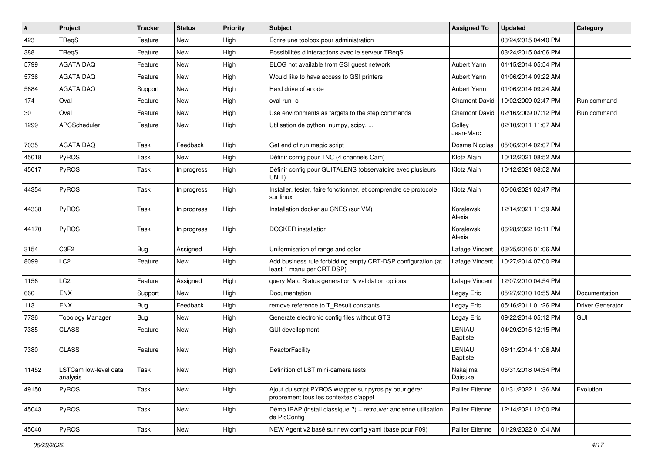| #     | Project                           | <b>Tracker</b> | <b>Status</b> | <b>Priority</b> | Subject                                                                                        | <b>Assigned To</b>        | <b>Updated</b>      | Category                |
|-------|-----------------------------------|----------------|---------------|-----------------|------------------------------------------------------------------------------------------------|---------------------------|---------------------|-------------------------|
| 423   | TReqS                             | Feature        | New           | High            | Écrire une toolbox pour administration                                                         |                           | 03/24/2015 04:40 PM |                         |
| 388   | TReqS                             | Feature        | New           | High            | Possibilités d'interactions avec le serveur TReqS                                              |                           | 03/24/2015 04:06 PM |                         |
| 5799  | <b>AGATA DAQ</b>                  | Feature        | New           | High            | ELOG not available from GSI guest network                                                      | <b>Aubert Yann</b>        | 01/15/2014 05:54 PM |                         |
| 5736  | <b>AGATA DAQ</b>                  | Feature        | New           | High            | Would like to have access to GSI printers                                                      | Aubert Yann               | 01/06/2014 09:22 AM |                         |
| 5684  | <b>AGATA DAQ</b>                  | Support        | New           | High            | Hard drive of anode                                                                            | Aubert Yann               | 01/06/2014 09:24 AM |                         |
| 174   | Oval                              | Feature        | New           | High            | oval run -o                                                                                    | <b>Chamont David</b>      | 10/02/2009 02:47 PM | Run command             |
| 30    | Oval                              | Feature        | New           | High            | Use environments as targets to the step commands                                               | <b>Chamont David</b>      | 02/16/2009 07:12 PM | Run command             |
| 1299  | APCScheduler                      | Feature        | New           | High            | Utilisation de python, numpy, scipy,                                                           | Colley<br>Jean-Marc       | 02/10/2011 11:07 AM |                         |
| 7035  | <b>AGATA DAQ</b>                  | Task           | Feedback      | High            | Get end of run magic script                                                                    | Dosme Nicolas             | 05/06/2014 02:07 PM |                         |
| 45018 | PyROS                             | Task           | <b>New</b>    | High            | Définir config pour TNC (4 channels Cam)                                                       | Klotz Alain               | 10/12/2021 08:52 AM |                         |
| 45017 | PyROS                             | Task           | In progress   | High            | Définir config pour GUITALENS (observatoire avec plusieurs<br>UNIT)                            | Klotz Alain               | 10/12/2021 08:52 AM |                         |
| 44354 | PyROS                             | Task           | In progress   | High            | Installer, tester, faire fonctionner, et comprendre ce protocole<br>sur linux                  | Klotz Alain               | 05/06/2021 02:47 PM |                         |
| 44338 | PyROS                             | Task           | In progress   | High            | Installation docker au CNES (sur VM)                                                           | Koralewski<br>Alexis      | 12/14/2021 11:39 AM |                         |
| 44170 | PyROS                             | Task           | In progress   | High            | <b>DOCKER</b> installation                                                                     | Koralewski<br>Alexis      | 06/28/2022 10:11 PM |                         |
| 3154  | C3F2                              | <b>Bug</b>     | Assigned      | High            | Uniformisation of range and color                                                              | Lafage Vincent            | 03/25/2016 01:06 AM |                         |
| 8099  | LC <sub>2</sub>                   | Feature        | <b>New</b>    | High            | Add business rule forbidding empty CRT-DSP configuration (at<br>least 1 manu per CRT DSP)      | Lafage Vincent            | 10/27/2014 07:00 PM |                         |
| 1156  | LC <sub>2</sub>                   | Feature        | Assigned      | High            | query Marc Status generation & validation options                                              | Lafage Vincent            | 12/07/2010 04:54 PM |                         |
| 660   | ENX                               | Support        | New           | High            | Documentation                                                                                  | Legay Eric                | 05/27/2010 10:55 AM | Documentation           |
| 113   | ENX                               | Bug            | Feedback      | High            | remove reference to T_Result constants                                                         | Legay Eric                | 05/16/2011 01:26 PM | <b>Driver Generator</b> |
| 7736  | <b>Topology Manager</b>           | Bug            | New           | High            | Generate electronic config files without GTS                                                   | Legay Eric                | 09/22/2014 05:12 PM | GUI                     |
| 7385  | <b>CLASS</b>                      | Feature        | New           | High            | <b>GUI devellopment</b>                                                                        | LENIAU<br><b>Baptiste</b> | 04/29/2015 12:15 PM |                         |
| 7380  | <b>CLASS</b>                      | Feature        | <b>New</b>    | High            | ReactorFacility                                                                                | LENIAU<br><b>Baptiste</b> | 06/11/2014 11:06 AM |                         |
| 11452 | LSTCam low-level data<br>analysis | Task           | New           | High            | Definition of LST mini-camera tests                                                            | Nakajima<br>Daisuke       | 05/31/2018 04:54 PM |                         |
| 49150 | PyROS                             | Task           | New           | High            | Ajout du script PYROS wrapper sur pyros.py pour gérer<br>proprement tous les contextes d'appel | <b>Pallier Etienne</b>    | 01/31/2022 11:36 AM | Evolution               |
| 45043 | PyROS                             | Task           | New           | High            | Démo IRAP (install classique ?) + retrouver ancienne utilisation<br>de PlcConfig               | Pallier Etienne           | 12/14/2021 12:00 PM |                         |
| 45040 | PyROS                             | Task           | New           | High            | NEW Agent v2 basé sur new config yaml (base pour F09)                                          | Pallier Etienne           | 01/29/2022 01:04 AM |                         |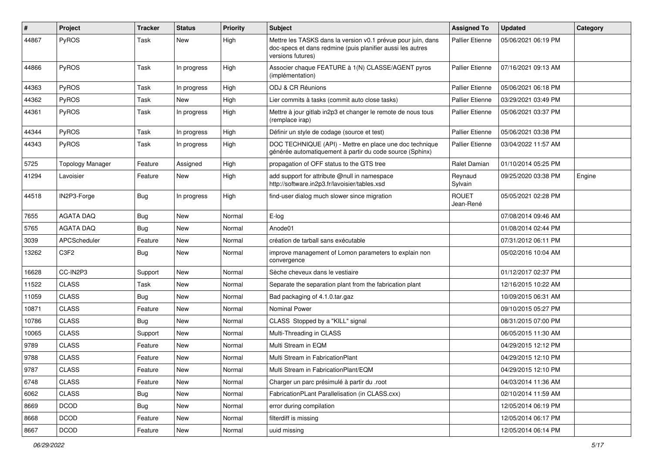| #     | <b>Project</b>          | <b>Tracker</b> | <b>Status</b> | <b>Priority</b> | <b>Subject</b>                                                                                                                                  | <b>Assigned To</b>        | <b>Updated</b>      | Category |
|-------|-------------------------|----------------|---------------|-----------------|-------------------------------------------------------------------------------------------------------------------------------------------------|---------------------------|---------------------|----------|
| 44867 | PyROS                   | Task           | New           | High            | Mettre les TASKS dans la version v0.1 prévue pour juin, dans<br>doc-specs et dans redmine (puis planifier aussi les autres<br>versions futures) | <b>Pallier Etienne</b>    | 05/06/2021 06:19 PM |          |
| 44866 | PyROS                   | Task           | In progress   | High            | Associer chaque FEATURE à 1(N) CLASSE/AGENT pyros<br>(implémentation)                                                                           | <b>Pallier Etienne</b>    | 07/16/2021 09:13 AM |          |
| 44363 | PyROS                   | Task           | In progress   | High            | ODJ & CR Réunions                                                                                                                               | Pallier Etienne           | 05/06/2021 06:18 PM |          |
| 44362 | PyROS                   | Task           | <b>New</b>    | High            | Lier commits à tasks (commit auto close tasks)                                                                                                  | <b>Pallier Etienne</b>    | 03/29/2021 03:49 PM |          |
| 44361 | PyROS                   | Task           | In progress   | High            | Mettre à jour gitlab in2p3 et changer le remote de nous tous<br>(remplace irap)                                                                 | Pallier Etienne           | 05/06/2021 03:37 PM |          |
| 44344 | PyROS                   | Task           | In progress   | High            | Définir un style de codage (source et test)                                                                                                     | Pallier Etienne           | 05/06/2021 03:38 PM |          |
| 44343 | PyROS                   | Task           | In progress   | High            | DOC TECHNIQUE (API) - Mettre en place une doc technique<br>générée automatiquement à partir du code source (Sphinx)                             | <b>Pallier Etienne</b>    | 03/04/2022 11:57 AM |          |
| 5725  | <b>Topology Manager</b> | Feature        | Assigned      | High            | propagation of OFF status to the GTS tree                                                                                                       | <b>Ralet Damian</b>       | 01/10/2014 05:25 PM |          |
| 41294 | Lavoisier               | Feature        | New           | High            | add support for attribute @null in namespace<br>http://software.in2p3.fr/lavoisier/tables.xsd                                                   | Reynaud<br>Sylvain        | 09/25/2020 03:38 PM | Engine   |
| 44518 | IN2P3-Forge             | Bug            | In progress   | High            | find-user dialog much slower since migration                                                                                                    | <b>ROUET</b><br>Jean-René | 05/05/2021 02:28 PM |          |
| 7655  | <b>AGATA DAQ</b>        | <b>Bug</b>     | <b>New</b>    | Normal          | E-log                                                                                                                                           |                           | 07/08/2014 09:46 AM |          |
| 5765  | <b>AGATA DAQ</b>        | Bug            | <b>New</b>    | Normal          | Anode01                                                                                                                                         |                           | 01/08/2014 02:44 PM |          |
| 3039  | APCScheduler            | Feature        | New           | Normal          | création de tarball sans exécutable                                                                                                             |                           | 07/31/2012 06:11 PM |          |
| 13262 | C3F2                    | <b>Bug</b>     | New           | Normal          | improve management of Lomon parameters to explain non<br>convergence                                                                            |                           | 05/02/2016 10:04 AM |          |
| 16628 | CC-IN2P3                | Support        | New           | Normal          | Sèche cheveux dans le vestiaire                                                                                                                 |                           | 01/12/2017 02:37 PM |          |
| 11522 | <b>CLASS</b>            | Task           | <b>New</b>    | Normal          | Separate the separation plant from the fabrication plant                                                                                        |                           | 12/16/2015 10:22 AM |          |
| 11059 | <b>CLASS</b>            | <b>Bug</b>     | <b>New</b>    | Normal          | Bad packaging of 4.1.0.tar.gaz                                                                                                                  |                           | 10/09/2015 06:31 AM |          |
| 10871 | <b>CLASS</b>            | Feature        | <b>New</b>    | Normal          | <b>Nominal Power</b>                                                                                                                            |                           | 09/10/2015 05:27 PM |          |
| 10786 | <b>CLASS</b>            | Bug            | <b>New</b>    | Normal          | CLASS Stopped by a "KILL" signal                                                                                                                |                           | 08/31/2015 07:00 PM |          |
| 10065 | <b>CLASS</b>            | Support        | New           | Normal          | Multi-Threading in CLASS                                                                                                                        |                           | 06/05/2015 11:30 AM |          |
| 9789  | <b>CLASS</b>            | Feature        | <b>New</b>    | Normal          | Multi Stream in EQM                                                                                                                             |                           | 04/29/2015 12:12 PM |          |
| 9788  | <b>CLASS</b>            | Feature        | New           | Normal          | Multi Stream in FabricationPlant                                                                                                                |                           | 04/29/2015 12:10 PM |          |
| 9787  | CLASS                   | Feature        | New           | Normal          | Multi Stream in FabricationPlant/EQM                                                                                                            |                           | 04/29/2015 12:10 PM |          |
| 6748  | <b>CLASS</b>            | Feature        | New           | Normal          | Charger un parc présimulé à partir du .root                                                                                                     |                           | 04/03/2014 11:36 AM |          |
| 6062  | <b>CLASS</b>            | <b>Bug</b>     | New           | Normal          | FabricationPLant Parallelisation (in CLASS.cxx)                                                                                                 |                           | 02/10/2014 11:59 AM |          |
| 8669  | <b>DCOD</b>             | Bug            | New           | Normal          | error during compilation                                                                                                                        |                           | 12/05/2014 06:19 PM |          |
| 8668  | <b>DCOD</b>             | Feature        | New           | Normal          | filterdiff is missing                                                                                                                           |                           | 12/05/2014 06:17 PM |          |
| 8667  | DCOD                    | Feature        | New           | Normal          | uuid missing                                                                                                                                    |                           | 12/05/2014 06:14 PM |          |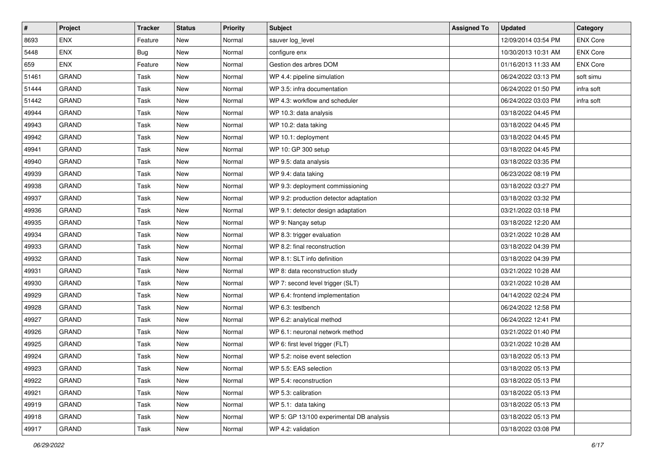| $\vert$ # | Project      | <b>Tracker</b> | <b>Status</b> | <b>Priority</b> | <b>Subject</b>                           | <b>Assigned To</b> | <b>Updated</b>      | Category        |
|-----------|--------------|----------------|---------------|-----------------|------------------------------------------|--------------------|---------------------|-----------------|
| 8693      | <b>ENX</b>   | Feature        | New           | Normal          | sauver log_level                         |                    | 12/09/2014 03:54 PM | <b>ENX Core</b> |
| 5448      | <b>ENX</b>   | Bug            | New           | Normal          | configure enx                            |                    | 10/30/2013 10:31 AM | <b>ENX Core</b> |
| 659       | <b>ENX</b>   | Feature        | New           | Normal          | Gestion des arbres DOM                   |                    | 01/16/2013 11:33 AM | <b>ENX Core</b> |
| 51461     | <b>GRAND</b> | Task           | New           | Normal          | WP 4.4: pipeline simulation              |                    | 06/24/2022 03:13 PM | soft simu       |
| 51444     | <b>GRAND</b> | Task           | New           | Normal          | WP 3.5: infra documentation              |                    | 06/24/2022 01:50 PM | infra soft      |
| 51442     | <b>GRAND</b> | Task           | New           | Normal          | WP 4.3: workflow and scheduler           |                    | 06/24/2022 03:03 PM | infra soft      |
| 49944     | <b>GRAND</b> | Task           | New           | Normal          | WP 10.3: data analysis                   |                    | 03/18/2022 04:45 PM |                 |
| 49943     | <b>GRAND</b> | Task           | New           | Normal          | WP 10.2: data taking                     |                    | 03/18/2022 04:45 PM |                 |
| 49942     | <b>GRAND</b> | Task           | New           | Normal          | WP 10.1: deployment                      |                    | 03/18/2022 04:45 PM |                 |
| 49941     | <b>GRAND</b> | Task           | New           | Normal          | WP 10: GP 300 setup                      |                    | 03/18/2022 04:45 PM |                 |
| 49940     | <b>GRAND</b> | Task           | New           | Normal          | WP 9.5: data analysis                    |                    | 03/18/2022 03:35 PM |                 |
| 49939     | <b>GRAND</b> | Task           | New           | Normal          | WP 9.4: data taking                      |                    | 06/23/2022 08:19 PM |                 |
| 49938     | GRAND        | Task           | New           | Normal          | WP 9.3: deployment commissioning         |                    | 03/18/2022 03:27 PM |                 |
| 49937     | <b>GRAND</b> | Task           | New           | Normal          | WP 9.2: production detector adaptation   |                    | 03/18/2022 03:32 PM |                 |
| 49936     | <b>GRAND</b> | Task           | New           | Normal          | WP 9.1: detector design adaptation       |                    | 03/21/2022 03:18 PM |                 |
| 49935     | <b>GRAND</b> | Task           | New           | Normal          | WP 9: Nançay setup                       |                    | 03/18/2022 12:20 AM |                 |
| 49934     | <b>GRAND</b> | Task           | New           | Normal          | WP 8.3: trigger evaluation               |                    | 03/21/2022 10:28 AM |                 |
| 49933     | <b>GRAND</b> | Task           | New           | Normal          | WP 8.2: final reconstruction             |                    | 03/18/2022 04:39 PM |                 |
| 49932     | <b>GRAND</b> | Task           | New           | Normal          | WP 8.1: SLT info definition              |                    | 03/18/2022 04:39 PM |                 |
| 49931     | <b>GRAND</b> | Task           | New           | Normal          | WP 8: data reconstruction study          |                    | 03/21/2022 10:28 AM |                 |
| 49930     | <b>GRAND</b> | Task           | New           | Normal          | WP 7: second level trigger (SLT)         |                    | 03/21/2022 10:28 AM |                 |
| 49929     | <b>GRAND</b> | Task           | New           | Normal          | WP 6.4: frontend implementation          |                    | 04/14/2022 02:24 PM |                 |
| 49928     | <b>GRAND</b> | Task           | New           | Normal          | WP 6.3: testbench                        |                    | 06/24/2022 12:58 PM |                 |
| 49927     | <b>GRAND</b> | Task           | New           | Normal          | WP 6.2: analytical method                |                    | 06/24/2022 12:41 PM |                 |
| 49926     | <b>GRAND</b> | Task           | New           | Normal          | WP 6.1: neuronal network method          |                    | 03/21/2022 01:40 PM |                 |
| 49925     | <b>GRAND</b> | Task           | New           | Normal          | WP 6: first level trigger (FLT)          |                    | 03/21/2022 10:28 AM |                 |
| 49924     | <b>GRAND</b> | Task           | New           | Normal          | WP 5.2: noise event selection            |                    | 03/18/2022 05:13 PM |                 |
| 49923     | GRAND        | Task           | New           | Normal          | WP 5.5: EAS selection                    |                    | 03/18/2022 05:13 PM |                 |
| 49922     | GRAND        | Task           | New           | Normal          | WP 5.4: reconstruction                   |                    | 03/18/2022 05:13 PM |                 |
| 49921     | <b>GRAND</b> | Task           | New           | Normal          | WP 5.3: calibration                      |                    | 03/18/2022 05:13 PM |                 |
| 49919     | <b>GRAND</b> | Task           | New           | Normal          | WP 5.1: data taking                      |                    | 03/18/2022 05:13 PM |                 |
| 49918     | GRAND        | Task           | New           | Normal          | WP 5: GP 13/100 experimental DB analysis |                    | 03/18/2022 05:13 PM |                 |
| 49917     | GRAND        | Task           | New           | Normal          | WP 4.2: validation                       |                    | 03/18/2022 03:08 PM |                 |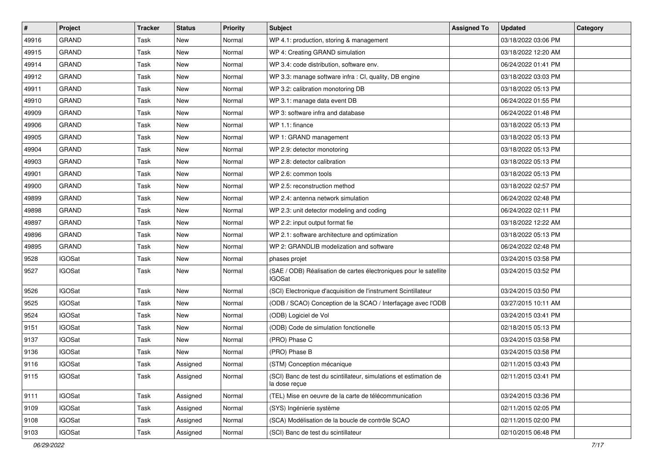| #     | Project       | <b>Tracker</b> | <b>Status</b> | <b>Priority</b> | <b>Subject</b>                                                                     | <b>Assigned To</b> | <b>Updated</b>      | Category |
|-------|---------------|----------------|---------------|-----------------|------------------------------------------------------------------------------------|--------------------|---------------------|----------|
| 49916 | <b>GRAND</b>  | Task           | New           | Normal          | WP 4.1: production, storing & management                                           |                    | 03/18/2022 03:06 PM |          |
| 49915 | <b>GRAND</b>  | Task           | <b>New</b>    | Normal          | WP 4: Creating GRAND simulation                                                    |                    | 03/18/2022 12:20 AM |          |
| 49914 | <b>GRAND</b>  | Task           | New           | Normal          | WP 3.4: code distribution, software env.                                           |                    | 06/24/2022 01:41 PM |          |
| 49912 | <b>GRAND</b>  | Task           | <b>New</b>    | Normal          | WP 3.3: manage software infra : CI, quality, DB engine                             |                    | 03/18/2022 03:03 PM |          |
| 49911 | <b>GRAND</b>  | Task           | <b>New</b>    | Normal          | WP 3.2: calibration monotoring DB                                                  |                    | 03/18/2022 05:13 PM |          |
| 49910 | <b>GRAND</b>  | Task           | <b>New</b>    | Normal          | WP 3.1: manage data event DB                                                       |                    | 06/24/2022 01:55 PM |          |
| 49909 | <b>GRAND</b>  | Task           | <b>New</b>    | Normal          | WP 3: software infra and database                                                  |                    | 06/24/2022 01:48 PM |          |
| 49906 | <b>GRAND</b>  | Task           | New           | Normal          | WP 1.1: finance                                                                    |                    | 03/18/2022 05:13 PM |          |
| 49905 | <b>GRAND</b>  | Task           | <b>New</b>    | Normal          | WP 1: GRAND management                                                             |                    | 03/18/2022 05:13 PM |          |
| 49904 | <b>GRAND</b>  | Task           | <b>New</b>    | Normal          | WP 2.9: detector monotoring                                                        |                    | 03/18/2022 05:13 PM |          |
| 49903 | <b>GRAND</b>  | Task           | <b>New</b>    | Normal          | WP 2.8: detector calibration                                                       |                    | 03/18/2022 05:13 PM |          |
| 49901 | <b>GRAND</b>  | Task           | <b>New</b>    | Normal          | WP 2.6: common tools                                                               |                    | 03/18/2022 05:13 PM |          |
| 49900 | <b>GRAND</b>  | Task           | <b>New</b>    | Normal          | WP 2.5: reconstruction method                                                      |                    | 03/18/2022 02:57 PM |          |
| 49899 | <b>GRAND</b>  | Task           | <b>New</b>    | Normal          | WP 2.4: antenna network simulation                                                 |                    | 06/24/2022 02:48 PM |          |
| 49898 | <b>GRAND</b>  | Task           | <b>New</b>    | Normal          | WP 2.3: unit detector modeling and coding                                          |                    | 06/24/2022 02:11 PM |          |
| 49897 | <b>GRAND</b>  | Task           | <b>New</b>    | Normal          | WP 2.2: input output format fie                                                    |                    | 03/18/2022 12:22 AM |          |
| 49896 | <b>GRAND</b>  | Task           | New           | Normal          | WP 2.1: software architecture and optimization                                     |                    | 03/18/2022 05:13 PM |          |
| 49895 | <b>GRAND</b>  | Task           | <b>New</b>    | Normal          | WP 2: GRANDLIB modelization and software                                           |                    | 06/24/2022 02:48 PM |          |
| 9528  | <b>IGOSat</b> | Task           | <b>New</b>    | Normal          | phases projet                                                                      |                    | 03/24/2015 03:58 PM |          |
| 9527  | <b>IGOSat</b> | Task           | New           | Normal          | (SAE / ODB) Réalisation de cartes électroniques pour le satellite<br><b>IGOSat</b> |                    | 03/24/2015 03:52 PM |          |
| 9526  | <b>IGOSat</b> | Task           | <b>New</b>    | Normal          | (SCI) Electronique d'acquisition de l'instrument Scintillateur                     |                    | 03/24/2015 03:50 PM |          |
| 9525  | <b>IGOSat</b> | Task           | <b>New</b>    | Normal          | (ODB / SCAO) Conception de la SCAO / Interfaçage avec l'ODB                        |                    | 03/27/2015 10:11 AM |          |
| 9524  | <b>IGOSat</b> | Task           | New           | Normal          | (ODB) Logiciel de Vol                                                              |                    | 03/24/2015 03:41 PM |          |
| 9151  | <b>IGOSat</b> | Task           | <b>New</b>    | Normal          | (ODB) Code de simulation fonctionelle                                              |                    | 02/18/2015 05:13 PM |          |
| 9137  | <b>IGOSat</b> | Task           | New           | Normal          | (PRO) Phase C                                                                      |                    | 03/24/2015 03:58 PM |          |
| 9136  | <b>IGOSat</b> | Task           | <b>New</b>    | Normal          | (PRO) Phase B                                                                      |                    | 03/24/2015 03:58 PM |          |
| 9116  | <b>IGOSat</b> | Task           | Assigned      | Normal          | (STM) Conception mécanique                                                         |                    | 02/11/2015 03:43 PM |          |
| 9115  | <b>IGOSat</b> | Task           | Assigned      | Normal          | (SCI) Banc de test du scintillateur, simulations et estimation de<br>la dose reçue |                    | 02/11/2015 03:41 PM |          |
| 9111  | <b>IGOSat</b> | Task           | Assigned      | Normal          | (TEL) Mise en oeuvre de la carte de télécommunication                              |                    | 03/24/2015 03:36 PM |          |
| 9109  | <b>IGOSat</b> | Task           | Assigned      | Normal          | (SYS) Ingénierie système                                                           |                    | 02/11/2015 02:05 PM |          |
| 9108  | <b>IGOSat</b> | Task           | Assigned      | Normal          | (SCA) Modélisation de la boucle de contrôle SCAO                                   |                    | 02/11/2015 02:00 PM |          |
| 9103  | <b>IGOSat</b> | Task           | Assigned      | Normal          | (SCI) Banc de test du scintillateur                                                |                    | 02/10/2015 06:48 PM |          |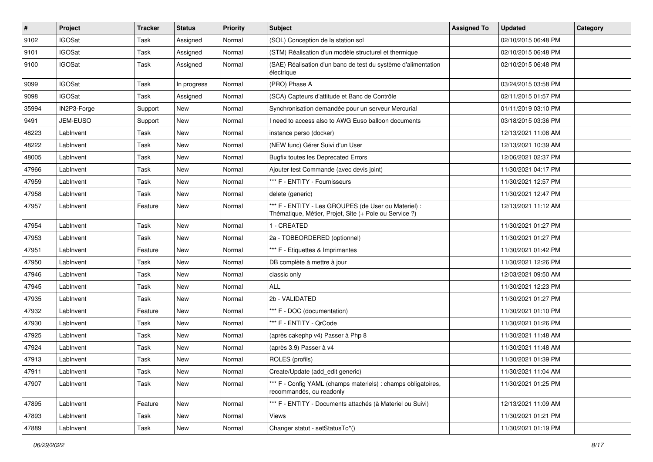| $\vert$ # | Project         | <b>Tracker</b> | <b>Status</b> | <b>Priority</b> | <b>Subject</b>                                                                                                 | <b>Assigned To</b> | <b>Updated</b>      | Category |
|-----------|-----------------|----------------|---------------|-----------------|----------------------------------------------------------------------------------------------------------------|--------------------|---------------------|----------|
| 9102      | <b>IGOSat</b>   | Task           | Assigned      | Normal          | (SOL) Conception de la station sol                                                                             |                    | 02/10/2015 06:48 PM |          |
| 9101      | <b>IGOSat</b>   | Task           | Assigned      | Normal          | (STM) Réalisation d'un modèle structurel et thermique                                                          |                    | 02/10/2015 06:48 PM |          |
| 9100      | <b>IGOSat</b>   | Task           | Assigned      | Normal          | (SAE) Réalisation d'un banc de test du système d'alimentation<br>électrique                                    |                    | 02/10/2015 06:48 PM |          |
| 9099      | <b>IGOSat</b>   | Task           | In progress   | Normal          | (PRO) Phase A                                                                                                  |                    | 03/24/2015 03:58 PM |          |
| 9098      | <b>IGOSat</b>   | Task           | Assigned      | Normal          | (SCA) Capteurs d'attitude et Banc de Contrôle                                                                  |                    | 02/11/2015 01:57 PM |          |
| 35994     | IN2P3-Forge     | Support        | <b>New</b>    | Normal          | Synchronisation demandée pour un serveur Mercurial                                                             |                    | 01/11/2019 03:10 PM |          |
| 9491      | <b>JEM-EUSO</b> | Support        | New           | Normal          | I need to access also to AWG Euso balloon documents                                                            |                    | 03/18/2015 03:36 PM |          |
| 48223     | LabInvent       | Task           | New           | Normal          | instance perso (docker)                                                                                        |                    | 12/13/2021 11:08 AM |          |
| 48222     | LabInvent       | Task           | New           | Normal          | (NEW func) Gérer Suivi d'un User                                                                               |                    | 12/13/2021 10:39 AM |          |
| 48005     | LabInvent       | Task           | <b>New</b>    | Normal          | <b>Bugfix toutes les Deprecated Errors</b>                                                                     |                    | 12/06/2021 02:37 PM |          |
| 47966     | LabInvent       | Task           | <b>New</b>    | Normal          | Ajouter test Commande (avec devis joint)                                                                       |                    | 11/30/2021 04:17 PM |          |
| 47959     | LabInvent       | Task           | New           | Normal          | *** F - ENTITY - Fournisseurs                                                                                  |                    | 11/30/2021 12:57 PM |          |
| 47958     | LabInvent       | Task           | New           | Normal          | delete (generic)                                                                                               |                    | 11/30/2021 12:47 PM |          |
| 47957     | LabInvent       | Feature        | <b>New</b>    | Normal          | *** F - ENTITY - Les GROUPES (de User ou Materiel) :<br>Thématique, Métier, Projet, Site (+ Pole ou Service ?) |                    | 12/13/2021 11:12 AM |          |
| 47954     | LabInvent       | Task           | <b>New</b>    | Normal          | I - CREATED                                                                                                    |                    | 11/30/2021 01:27 PM |          |
| 47953     | LabInvent       | Task           | New           | Normal          | 2a - TOBEORDERED (optionnel)                                                                                   |                    | 11/30/2021 01:27 PM |          |
| 47951     | LabInvent       | Feature        | New           | Normal          | *** F - Etiquettes & Imprimantes                                                                               |                    | 11/30/2021 01:42 PM |          |
| 47950     | LabInvent       | Task           | <b>New</b>    | Normal          | DB complète à mettre à jour                                                                                    |                    | 11/30/2021 12:26 PM |          |
| 47946     | LabInvent       | Task           | New           | Normal          | classic only                                                                                                   |                    | 12/03/2021 09:50 AM |          |
| 47945     | LabInvent       | Task           | New           | Normal          | <b>ALL</b>                                                                                                     |                    | 11/30/2021 12:23 PM |          |
| 47935     | LabInvent       | Task           | <b>New</b>    | Normal          | 2b - VALIDATED                                                                                                 |                    | 11/30/2021 01:27 PM |          |
| 47932     | LabInvent       | Feature        | New           | Normal          | *** F - DOC (documentation)                                                                                    |                    | 11/30/2021 01:10 PM |          |
| 47930     | LabInvent       | Task           | <b>New</b>    | Normal          | *** F - ENTITY - QrCode                                                                                        |                    | 11/30/2021 01:26 PM |          |
| 47925     | LabInvent       | Task           | New           | Normal          | (après cakephp v4) Passer à Php 8                                                                              |                    | 11/30/2021 11:48 AM |          |
| 47924     | LabInvent       | Task           | New           | Normal          | (après 3.9) Passer à v4                                                                                        |                    | 11/30/2021 11:48 AM |          |
| 47913     | LabInvent       | Task           | New           | Normal          | ROLES (profils)                                                                                                |                    | 11/30/2021 01:39 PM |          |
| 47911     | Lablnvent       | Task           | New           | Normal          | Create/Update (add_edit generic)                                                                               |                    | 11/30/2021 11:04 AM |          |
| 47907     | LabInvent       | Task           | New           | Normal          | *** F - Config YAML (champs materiels) : champs obligatoires,<br>recommandés, ou readonly                      |                    | 11/30/2021 01:25 PM |          |
| 47895     | LabInvent       | Feature        | New           | Normal          | *** F - ENTITY - Documents attachés (à Materiel ou Suivi)                                                      |                    | 12/13/2021 11:09 AM |          |
| 47893     | LabInvent       | Task           | New           | Normal          | Views                                                                                                          |                    | 11/30/2021 01:21 PM |          |
| 47889     | LabInvent       | Task           | New           | Normal          | Changer statut - setStatusTo*()                                                                                |                    | 11/30/2021 01:19 PM |          |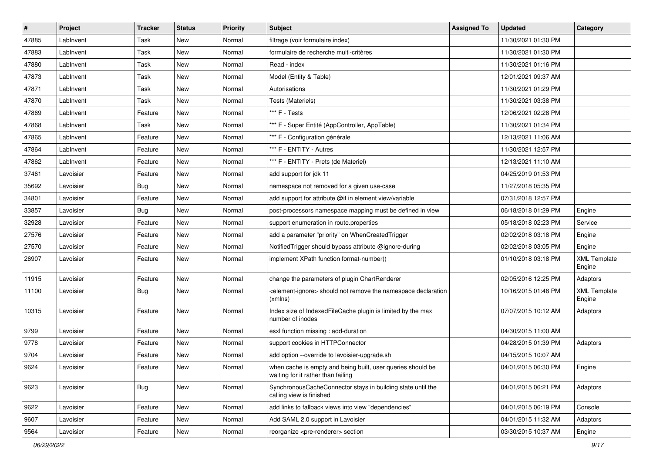| $\sharp$ | <b>Project</b> | <b>Tracker</b> | <b>Status</b> | <b>Priority</b> | <b>Subject</b>                                                                                    | <b>Assigned To</b> | <b>Updated</b>      | Category                      |
|----------|----------------|----------------|---------------|-----------------|---------------------------------------------------------------------------------------------------|--------------------|---------------------|-------------------------------|
| 47885    | LabInvent      | Task           | New           | Normal          | filtrage (voir formulaire index)                                                                  |                    | 11/30/2021 01:30 PM |                               |
| 47883    | LabInvent      | Task           | New           | Normal          | formulaire de recherche multi-critères                                                            |                    | 11/30/2021 01:30 PM |                               |
| 47880    | LabInvent      | Task           | New           | Normal          | Read - index                                                                                      |                    | 11/30/2021 01:16 PM |                               |
| 47873    | LabInvent      | Task           | New           | Normal          | Model (Entity & Table)                                                                            |                    | 12/01/2021 09:37 AM |                               |
| 47871    | LabInvent      | Task           | New           | Normal          | Autorisations                                                                                     |                    | 11/30/2021 01:29 PM |                               |
| 47870    | LabInvent      | Task           | New           | Normal          | Tests (Materiels)                                                                                 |                    | 11/30/2021 03:38 PM |                               |
| 47869    | LabInvent      | Feature        | New           | Normal          | *** F - Tests                                                                                     |                    | 12/06/2021 02:28 PM |                               |
| 47868    | LabInvent      | Task           | New           | Normal          | *** F - Super Entité (AppController, AppTable)                                                    |                    | 11/30/2021 01:34 PM |                               |
| 47865    | LabInvent      | Feature        | New           | Normal          | *** F - Configuration générale                                                                    |                    | 12/13/2021 11:06 AM |                               |
| 47864    | LabInvent      | Feature        | New           | Normal          | *** F - ENTITY - Autres                                                                           |                    | 11/30/2021 12:57 PM |                               |
| 47862    | LabInvent      | Feature        | New           | Normal          | *** F - ENTITY - Prets (de Materiel)                                                              |                    | 12/13/2021 11:10 AM |                               |
| 37461    | Lavoisier      | Feature        | New           | Normal          | add support for jdk 11                                                                            |                    | 04/25/2019 01:53 PM |                               |
| 35692    | Lavoisier      | Bug            | New           | Normal          | namespace not removed for a given use-case                                                        |                    | 11/27/2018 05:35 PM |                               |
| 34801    | Lavoisier      | Feature        | New           | Normal          | add support for attribute @if in element view/variable                                            |                    | 07/31/2018 12:57 PM |                               |
| 33857    | Lavoisier      | Bug            | New           | Normal          | post-processors namespace mapping must be defined in view                                         |                    | 06/18/2018 01:29 PM | Engine                        |
| 32928    | Lavoisier      | Feature        | New           | Normal          | support enumeration in route properties                                                           |                    | 05/18/2018 02:23 PM | Service                       |
| 27576    | Lavoisier      | Feature        | New           | Normal          | add a parameter "priority" on WhenCreatedTrigger                                                  |                    | 02/02/2018 03:18 PM | Engine                        |
| 27570    | Lavoisier      | Feature        | New           | Normal          | NotifiedTrigger should bypass attribute @ignore-during                                            |                    | 02/02/2018 03:05 PM | Engine                        |
| 26907    | Lavoisier      | Feature        | New           | Normal          | implement XPath function format-number()                                                          |                    | 01/10/2018 03:18 PM | <b>XML Template</b><br>Engine |
| 11915    | Lavoisier      | Feature        | New           | Normal          | change the parameters of plugin ChartRenderer                                                     |                    | 02/05/2016 12:25 PM | Adaptors                      |
| 11100    | Lavoisier      | Bug            | New           | Normal          | <element-ignore> should not remove the namespace declaration<br/>(xmlns)</element-ignore>         |                    | 10/16/2015 01:48 PM | <b>XML Template</b><br>Engine |
| 10315    | Lavoisier      | Feature        | New           | Normal          | Index size of IndexedFileCache plugin is limited by the max<br>number of inodes                   |                    | 07/07/2015 10:12 AM | Adaptors                      |
| 9799     | Lavoisier      | Feature        | New           | Normal          | esxl function missing : add-duration                                                              |                    | 04/30/2015 11:00 AM |                               |
| 9778     | Lavoisier      | Feature        | New           | Normal          | support cookies in HTTPConnector                                                                  |                    | 04/28/2015 01:39 PM | Adaptors                      |
| 9704     | Lavoisier      | Feature        | New           | Normal          | add option --override to lavoisier-upgrade.sh                                                     |                    | 04/15/2015 10:07 AM |                               |
| 9624     | Lavoisier      | Feature        | New           | Normal          | when cache is empty and being built, user queries should be<br>waiting for it rather than failing |                    | 04/01/2015 06:30 PM | Engine                        |
| 9623     | Lavoisier      | Bug            | New           | Normal          | SynchronousCacheConnector stays in building state until the<br>calling view is finished           |                    | 04/01/2015 06:21 PM | Adaptors                      |
| 9622     | Lavoisier      | Feature        | New           | Normal          | add links to fallback views into view "dependencies"                                              |                    | 04/01/2015 06:19 PM | Console                       |
| 9607     | Lavoisier      | Feature        | New           | Normal          | Add SAML 2.0 support in Lavoisier                                                                 |                    | 04/01/2015 11:32 AM | Adaptors                      |
| 9564     | Lavoisier      | Feature        | New           | Normal          | reorganize <pre-renderer> section</pre-renderer>                                                  |                    | 03/30/2015 10:37 AM | Engine                        |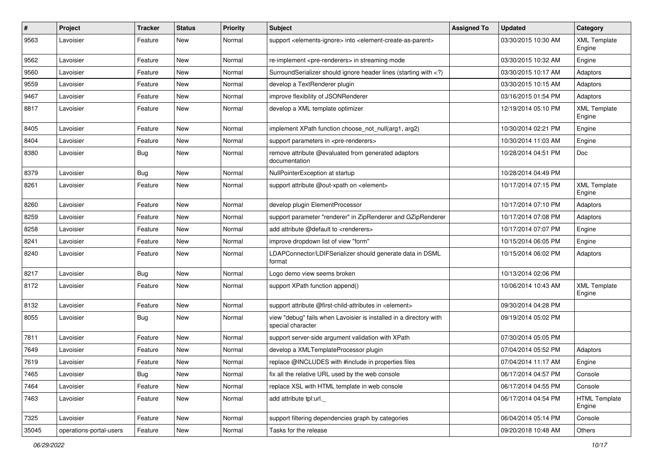| $\pmb{\#}$ | Project                 | <b>Tracker</b> | <b>Status</b> | <b>Priority</b> | Subject                                                                                                                     | <b>Assigned To</b> | <b>Updated</b>      | Category                       |
|------------|-------------------------|----------------|---------------|-----------------|-----------------------------------------------------------------------------------------------------------------------------|--------------------|---------------------|--------------------------------|
| 9563       | Lavoisier               | Feature        | New           | Normal          | support <elements-ignore> into <element-create-as-parent></element-create-as-parent></elements-ignore>                      |                    | 03/30/2015 10:30 AM | <b>XML Template</b><br>Engine  |
| 9562       | Lavoisier               | Feature        | New           | Normal          | re-implement <pre-renderers> in streaming mode</pre-renderers>                                                              |                    | 03/30/2015 10:32 AM | Engine                         |
| 9560       | Lavoisier               | Feature        | New           | Normal          | SurroundSerializer should ignore header lines (starting with )</td <td></td> <td>03/30/2015 10:17 AM</td> <td>Adaptors</td> |                    | 03/30/2015 10:17 AM | Adaptors                       |
| 9559       | Lavoisier               | Feature        | <b>New</b>    | Normal          | develop a TextRenderer plugin                                                                                               |                    | 03/30/2015 10:15 AM | Adaptors                       |
| 9467       | Lavoisier               | Feature        | New           | Normal          | improve flexibility of JSONRenderer                                                                                         |                    | 03/16/2015 01:54 PM | Adaptors                       |
| 8817       | Lavoisier               | Feature        | New           | Normal          | develop a XML template optimizer                                                                                            |                    | 12/19/2014 05:10 PM | <b>XML Template</b><br>Engine  |
| 8405       | Lavoisier               | Feature        | <b>New</b>    | Normal          | implement XPath function choose_not_null(arg1, arg2)                                                                        |                    | 10/30/2014 02:21 PM | Engine                         |
| 8404       | Lavoisier               | Feature        | <b>New</b>    | Normal          | support parameters in <pre-renderers></pre-renderers>                                                                       |                    | 10/30/2014 11:03 AM | Engine                         |
| 8380       | Lavoisier               | Bug            | New           | Normal          | remove attribute @evaluated from generated adaptors<br>documentation                                                        |                    | 10/28/2014 04:51 PM | <b>Doc</b>                     |
| 8379       | Lavoisier               | Bug            | <b>New</b>    | Normal          | NullPointerException at startup                                                                                             |                    | 10/28/2014 04:49 PM |                                |
| 8261       | Lavoisier               | Feature        | New           | Normal          | support attribute @out-xpath on <element></element>                                                                         |                    | 10/17/2014 07:15 PM | <b>XML Template</b><br>Engine  |
| 8260       | Lavoisier               | Feature        | New           | Normal          | develop plugin ElementProcessor                                                                                             |                    | 10/17/2014 07:10 PM | Adaptors                       |
| 8259       | Lavoisier               | Feature        | New           | Normal          | support parameter "renderer" in ZipRenderer and GZipRenderer                                                                |                    | 10/17/2014 07:08 PM | Adaptors                       |
| 8258       | Lavoisier               | Feature        | <b>New</b>    | Normal          | add attribute @default to <renderers></renderers>                                                                           |                    | 10/17/2014 07:07 PM | Engine                         |
| 8241       | Lavoisier               | Feature        | New           | Normal          | improve dropdown list of view "form"                                                                                        |                    | 10/15/2014 06:05 PM | Engine                         |
| 8240       | Lavoisier               | Feature        | New           | Normal          | LDAPConnector/LDIFSerializer should generate data in DSML<br>format                                                         |                    | 10/15/2014 06:02 PM | Adaptors                       |
| 8217       | Lavoisier               | Bug            | New           | Normal          | Logo demo view seems broken                                                                                                 |                    | 10/13/2014 02:06 PM |                                |
| 8172       | Lavoisier               | Feature        | New           | Normal          | support XPath function append()                                                                                             |                    | 10/06/2014 10:43 AM | <b>XML Template</b><br>Engine  |
| 8132       | Lavoisier               | Feature        | <b>New</b>    | Normal          | support attribute @first-child-attributes in <element></element>                                                            |                    | 09/30/2014 04:28 PM |                                |
| 8055       | Lavoisier               | <b>Bug</b>     | <b>New</b>    | Normal          | view "debug" fails when Lavoisier is installed in a directory with<br>special character                                     |                    | 09/19/2014 05:02 PM |                                |
| 7811       | Lavoisier               | Feature        | <b>New</b>    | Normal          | support server-side argument validation with XPath                                                                          |                    | 07/30/2014 05:05 PM |                                |
| 7649       | Lavoisier               | Feature        | New           | Normal          | develop a XMLTemplateProcessor plugin                                                                                       |                    | 07/04/2014 05:52 PM | Adaptors                       |
| 7619       | Lavoisier               | Feature        | New           | Normal          | replace @INCLUDES with #include in properties files                                                                         |                    | 07/04/2014 11:17 AM | Engine                         |
| 7465       | Lavoisier               | <b>Bug</b>     | New           | Normal          | fix all the relative URL used by the web console                                                                            |                    | 06/17/2014 04:57 PM | Console                        |
| 7464       | Lavoisier               | Feature        | New           | Normal          | replace XSL with HTML template in web console                                                                               |                    | 06/17/2014 04:55 PM | Console                        |
| 7463       | Lavoisier               | Feature        | New           | Normal          | add attribute tpl:url._                                                                                                     |                    | 06/17/2014 04:54 PM | <b>HTML Template</b><br>Engine |
| 7325       | Lavoisier               | Feature        | New           | Normal          | support filtering dependencies graph by categories                                                                          |                    | 06/04/2014 05:14 PM | Console                        |
| 35045      | operations-portal-users | Feature        | New           | Normal          | Tasks for the release                                                                                                       |                    | 09/20/2018 10:48 AM | Others                         |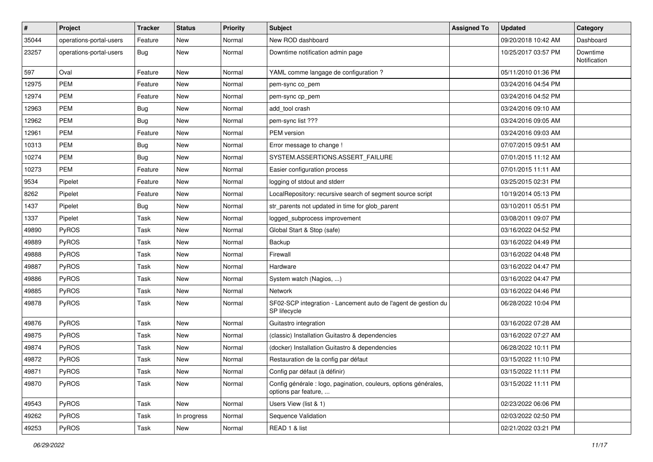| #     | <b>Project</b>          | <b>Tracker</b> | <b>Status</b> | <b>Priority</b> | Subject                                                                                  | <b>Assigned To</b> | <b>Updated</b>      | Category                 |
|-------|-------------------------|----------------|---------------|-----------------|------------------------------------------------------------------------------------------|--------------------|---------------------|--------------------------|
| 35044 | operations-portal-users | Feature        | New           | Normal          | New ROD dashboard                                                                        |                    | 09/20/2018 10:42 AM | Dashboard                |
| 23257 | operations-portal-users | <b>Bug</b>     | <b>New</b>    | Normal          | Downtime notification admin page                                                         |                    | 10/25/2017 03:57 PM | Downtime<br>Notification |
| 597   | Oval                    | Feature        | New           | Normal          | YAML comme langage de configuration ?                                                    |                    | 05/11/2010 01:36 PM |                          |
| 12975 | <b>PEM</b>              | Feature        | <b>New</b>    | Normal          | pem-sync co_pem                                                                          |                    | 03/24/2016 04:54 PM |                          |
| 12974 | PEM                     | Feature        | New           | Normal          | pem-sync cp_pem                                                                          |                    | 03/24/2016 04:52 PM |                          |
| 12963 | PEM                     | <b>Bug</b>     | <b>New</b>    | Normal          | add tool crash                                                                           |                    | 03/24/2016 09:10 AM |                          |
| 12962 | <b>PEM</b>              | <b>Bug</b>     | New           | Normal          | pem-sync list ???                                                                        |                    | 03/24/2016 09:05 AM |                          |
| 12961 | PEM                     | Feature        | New           | Normal          | PEM version                                                                              |                    | 03/24/2016 09:03 AM |                          |
| 10313 | <b>PEM</b>              | Bug            | <b>New</b>    | Normal          | Error message to change !                                                                |                    | 07/07/2015 09:51 AM |                          |
| 10274 | PEM                     | <b>Bug</b>     | <b>New</b>    | Normal          | SYSTEM.ASSERTIONS.ASSERT_FAILURE                                                         |                    | 07/01/2015 11:12 AM |                          |
| 10273 | <b>PEM</b>              | Feature        | New           | Normal          | Easier configuration process                                                             |                    | 07/01/2015 11:11 AM |                          |
| 9534  | Pipelet                 | Feature        | New           | Normal          | logging of stdout and stderr                                                             |                    | 03/25/2015 02:31 PM |                          |
| 8262  | Pipelet                 | Feature        | New           | Normal          | LocalRepository: recursive search of segment source script                               |                    | 10/19/2014 05:13 PM |                          |
| 1437  | Pipelet                 | <b>Bug</b>     | <b>New</b>    | Normal          | str_parents not updated in time for glob_parent                                          |                    | 03/10/2011 05:51 PM |                          |
| 1337  | Pipelet                 | Task           | New           | Normal          | logged_subprocess improvement                                                            |                    | 03/08/2011 09:07 PM |                          |
| 49890 | PyROS                   | Task           | New           | Normal          | Global Start & Stop (safe)                                                               |                    | 03/16/2022 04:52 PM |                          |
| 49889 | PyROS                   | Task           | <b>New</b>    | Normal          | Backup                                                                                   |                    | 03/16/2022 04:49 PM |                          |
| 49888 | PyROS                   | Task           | <b>New</b>    | Normal          | Firewall                                                                                 |                    | 03/16/2022 04:48 PM |                          |
| 49887 | PyROS                   | Task           | New           | Normal          | Hardware                                                                                 |                    | 03/16/2022 04:47 PM |                          |
| 49886 | PyROS                   | Task           | New           | Normal          | System watch (Nagios, )                                                                  |                    | 03/16/2022 04:47 PM |                          |
| 49885 | PyROS                   | Task           | New           | Normal          | <b>Network</b>                                                                           |                    | 03/16/2022 04:46 PM |                          |
| 49878 | PyROS                   | Task           | New           | Normal          | SF02-SCP integration - Lancement auto de l'agent de gestion du<br>SP lifecycle           |                    | 06/28/2022 10:04 PM |                          |
| 49876 | PyROS                   | Task           | New           | Normal          | Guitastro integration                                                                    |                    | 03/16/2022 07:28 AM |                          |
| 49875 | PyROS                   | Task           | New           | Normal          | (classic) Installation Guitastro & dependencies                                          |                    | 03/16/2022 07:27 AM |                          |
| 49874 | PyROS                   | Task           | New           | Normal          | (docker) Installation Guitastro & dependencies                                           |                    | 06/28/2022 10:11 PM |                          |
| 49872 | PyROS                   | Task           | <b>New</b>    | Normal          | Restauration de la config par défaut                                                     |                    | 03/15/2022 11:10 PM |                          |
| 49871 | PyROS                   | Task           | New           | Normal          | Config par défaut (à définir)                                                            |                    | 03/15/2022 11:11 PM |                          |
| 49870 | PyROS                   | Task           | New           | Normal          | Config générale : logo, pagination, couleurs, options générales,<br>options par feature, |                    | 03/15/2022 11:11 PM |                          |
| 49543 | PyROS                   | Task           | New           | Normal          | Users View (list & 1)                                                                    |                    | 02/23/2022 06:06 PM |                          |
| 49262 | PyROS                   | Task           | In progress   | Normal          | Sequence Validation                                                                      |                    | 02/03/2022 02:50 PM |                          |
| 49253 | PyROS                   | Task           | New           | Normal          | READ 1 & list                                                                            |                    | 02/21/2022 03:21 PM |                          |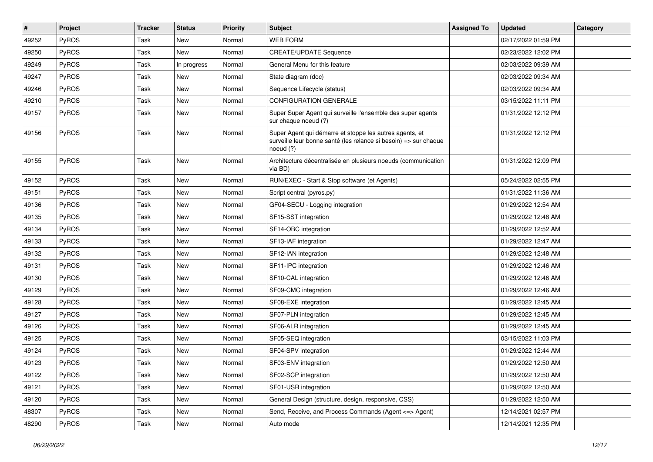| #     | Project | <b>Tracker</b> | <b>Status</b> | <b>Priority</b> | <b>Subject</b>                                                                                                                           | <b>Assigned To</b> | <b>Updated</b>      | Category |
|-------|---------|----------------|---------------|-----------------|------------------------------------------------------------------------------------------------------------------------------------------|--------------------|---------------------|----------|
| 49252 | PyROS   | Task           | New           | Normal          | <b>WEB FORM</b>                                                                                                                          |                    | 02/17/2022 01:59 PM |          |
| 49250 | PyROS   | Task           | New           | Normal          | <b>CREATE/UPDATE Sequence</b>                                                                                                            |                    | 02/23/2022 12:02 PM |          |
| 49249 | PyROS   | Task           | In progress   | Normal          | General Menu for this feature                                                                                                            |                    | 02/03/2022 09:39 AM |          |
| 49247 | PyROS   | Task           | New           | Normal          | State diagram (doc)                                                                                                                      |                    | 02/03/2022 09:34 AM |          |
| 49246 | PyROS   | Task           | New           | Normal          | Sequence Lifecycle (status)                                                                                                              |                    | 02/03/2022 09:34 AM |          |
| 49210 | PyROS   | Task           | New           | Normal          | CONFIGURATION GENERALE                                                                                                                   |                    | 03/15/2022 11:11 PM |          |
| 49157 | PyROS   | Task           | <b>New</b>    | Normal          | Super Super Agent qui surveille l'ensemble des super agents<br>sur chaque noeud (?)                                                      |                    | 01/31/2022 12:12 PM |          |
| 49156 | PyROS   | Task           | New           | Normal          | Super Agent qui démarre et stoppe les autres agents, et<br>surveille leur bonne santé (les relance si besoin) => sur chaque<br>noeud (?) |                    | 01/31/2022 12:12 PM |          |
| 49155 | PyROS   | Task           | New           | Normal          | Architecture décentralisée en plusieurs noeuds (communication<br>via BD)                                                                 |                    | 01/31/2022 12:09 PM |          |
| 49152 | PyROS   | Task           | <b>New</b>    | Normal          | RUN/EXEC - Start & Stop software (et Agents)                                                                                             |                    | 05/24/2022 02:55 PM |          |
| 49151 | PyROS   | Task           | <b>New</b>    | Normal          | Script central (pyros.py)                                                                                                                |                    | 01/31/2022 11:36 AM |          |
| 49136 | PyROS   | Task           | <b>New</b>    | Normal          | GF04-SECU - Logging integration                                                                                                          |                    | 01/29/2022 12:54 AM |          |
| 49135 | PyROS   | Task           | <b>New</b>    | Normal          | SF15-SST integration                                                                                                                     |                    | 01/29/2022 12:48 AM |          |
| 49134 | PyROS   | Task           | <b>New</b>    | Normal          | SF14-OBC integration                                                                                                                     |                    | 01/29/2022 12:52 AM |          |
| 49133 | PyROS   | Task           | <b>New</b>    | Normal          | SF13-IAF integration                                                                                                                     |                    | 01/29/2022 12:47 AM |          |
| 49132 | PyROS   | Task           | <b>New</b>    | Normal          | SF12-IAN integration                                                                                                                     |                    | 01/29/2022 12:48 AM |          |
| 49131 | PyROS   | Task           | <b>New</b>    | Normal          | SF11-IPC integration                                                                                                                     |                    | 01/29/2022 12:46 AM |          |
| 49130 | PyROS   | Task           | <b>New</b>    | Normal          | SF10-CAL integration                                                                                                                     |                    | 01/29/2022 12:46 AM |          |
| 49129 | PyROS   | Task           | <b>New</b>    | Normal          | SF09-CMC integration                                                                                                                     |                    | 01/29/2022 12:46 AM |          |
| 49128 | PyROS   | Task           | <b>New</b>    | Normal          | SF08-EXE integration                                                                                                                     |                    | 01/29/2022 12:45 AM |          |
| 49127 | PyROS   | Task           | New           | Normal          | SF07-PLN integration                                                                                                                     |                    | 01/29/2022 12:45 AM |          |
| 49126 | PyROS   | Task           | <b>New</b>    | Normal          | SF06-ALR integration                                                                                                                     |                    | 01/29/2022 12:45 AM |          |
| 49125 | PyROS   | Task           | New           | Normal          | SF05-SEQ integration                                                                                                                     |                    | 03/15/2022 11:03 PM |          |
| 49124 | PyROS   | Task           | New           | Normal          | SF04-SPV integration                                                                                                                     |                    | 01/29/2022 12:44 AM |          |
| 49123 | PyROS   | Task           | New           | Normal          | SF03-ENV integration                                                                                                                     |                    | 01/29/2022 12:50 AM |          |
| 49122 | PyROS   | Task           | New           | Normal          | SF02-SCP integration                                                                                                                     |                    | 01/29/2022 12:50 AM |          |
| 49121 | PyROS   | Task           | New           | Normal          | SF01-USR integration                                                                                                                     |                    | 01/29/2022 12:50 AM |          |
| 49120 | PyROS   | Task           | New           | Normal          | General Design (structure, design, responsive, CSS)                                                                                      |                    | 01/29/2022 12:50 AM |          |
| 48307 | PyROS   | Task           | New           | Normal          | Send, Receive, and Process Commands (Agent <= > Agent)                                                                                   |                    | 12/14/2021 02:57 PM |          |
| 48290 | PyROS   | Task           | New           | Normal          | Auto mode                                                                                                                                |                    | 12/14/2021 12:35 PM |          |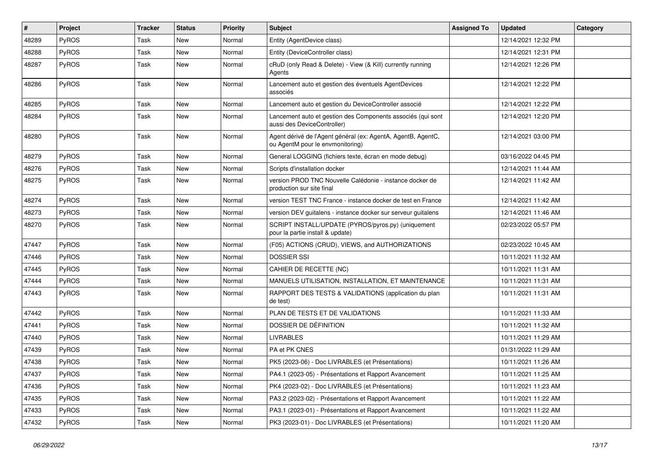| #     | Project      | <b>Tracker</b> | <b>Status</b> | <b>Priority</b> | <b>Subject</b>                                                                                   | <b>Assigned To</b> | <b>Updated</b>      | Category |
|-------|--------------|----------------|---------------|-----------------|--------------------------------------------------------------------------------------------------|--------------------|---------------------|----------|
| 48289 | PyROS        | Task           | New           | Normal          | Entity (AgentDevice class)                                                                       |                    | 12/14/2021 12:32 PM |          |
| 48288 | PyROS        | Task           | New           | Normal          | Entity (DeviceController class)                                                                  |                    | 12/14/2021 12:31 PM |          |
| 48287 | <b>PyROS</b> | Task           | New           | Normal          | cRuD (only Read & Delete) - View (& Kill) currently running<br>Agents                            |                    | 12/14/2021 12:26 PM |          |
| 48286 | PyROS        | Task           | New           | Normal          | Lancement auto et gestion des éventuels AgentDevices<br>associés                                 |                    | 12/14/2021 12:22 PM |          |
| 48285 | PyROS        | Task           | New           | Normal          | Lancement auto et gestion du DeviceController associé                                            |                    | 12/14/2021 12:22 PM |          |
| 48284 | PyROS        | Task           | <b>New</b>    | Normal          | Lancement auto et gestion des Components associés (qui sont<br>aussi des DeviceController)       |                    | 12/14/2021 12:20 PM |          |
| 48280 | PyROS        | Task           | <b>New</b>    | Normal          | Agent dérivé de l'Agent général (ex: AgentA, AgentB, AgentC,<br>ou AgentM pour le envmonitoring) |                    | 12/14/2021 03:00 PM |          |
| 48279 | PyROS        | Task           | <b>New</b>    | Normal          | General LOGGING (fichiers texte, écran en mode debug)                                            |                    | 03/16/2022 04:45 PM |          |
| 48276 | PyROS        | Task           | <b>New</b>    | Normal          | Scripts d'installation docker                                                                    |                    | 12/14/2021 11:44 AM |          |
| 48275 | <b>PyROS</b> | Task           | New           | Normal          | version PROD TNC Nouvelle Calédonie - instance docker de<br>production sur site final            |                    | 12/14/2021 11:42 AM |          |
| 48274 | PyROS        | Task           | <b>New</b>    | Normal          | version TEST TNC France - instance docker de test en France                                      |                    | 12/14/2021 11:42 AM |          |
| 48273 | <b>PyROS</b> | Task           | <b>New</b>    | Normal          | version DEV guitalens - instance docker sur serveur guitalens                                    |                    | 12/14/2021 11:46 AM |          |
| 48270 | PyROS        | Task           | New           | Normal          | SCRIPT INSTALL/UPDATE (PYROS/pyros.py) (uniquement<br>pour la partie install & update)           |                    | 02/23/2022 05:57 PM |          |
| 47447 | PyROS        | Task           | <b>New</b>    | Normal          | (F05) ACTIONS (CRUD), VIEWS, and AUTHORIZATIONS                                                  |                    | 02/23/2022 10:45 AM |          |
| 47446 | PyROS        | Task           | <b>New</b>    | Normal          | <b>DOSSIER SSI</b>                                                                               |                    | 10/11/2021 11:32 AM |          |
| 47445 | <b>PyROS</b> | Task           | New           | Normal          | CAHIER DE RECETTE (NC)                                                                           |                    | 10/11/2021 11:31 AM |          |
| 47444 | PyROS        | Task           | <b>New</b>    | Normal          | MANUELS UTILISATION, INSTALLATION, ET MAINTENANCE                                                |                    | 10/11/2021 11:31 AM |          |
| 47443 | <b>PyROS</b> | Task           | New           | Normal          | RAPPORT DES TESTS & VALIDATIONS (application du plan<br>de test)                                 |                    | 10/11/2021 11:31 AM |          |
| 47442 | PyROS        | Task           | <b>New</b>    | Normal          | PLAN DE TESTS ET DE VALIDATIONS                                                                  |                    | 10/11/2021 11:33 AM |          |
| 47441 | PyROS        | Task           | <b>New</b>    | Normal          | DOSSIER DE DÉFINITION                                                                            |                    | 10/11/2021 11:32 AM |          |
| 47440 | PyROS        | Task           | New           | Normal          | <b>LIVRABLES</b>                                                                                 |                    | 10/11/2021 11:29 AM |          |
| 47439 | PyROS        | Task           | New           | Normal          | PA et PK CNES                                                                                    |                    | 01/31/2022 11:29 AM |          |
| 47438 | <b>PyROS</b> | Task           | New           | Normal          | PK5 (2023-06) - Doc LIVRABLES (et Présentations)                                                 |                    | 10/11/2021 11:26 AM |          |
| 47437 | PyROS        | Task           | New           | Normal          | PA4.1 (2023-05) - Présentations et Rapport Avancement                                            |                    | 10/11/2021 11:25 AM |          |
| 47436 | PyROS        | Task           | New           | Normal          | PK4 (2023-02) - Doc LIVRABLES (et Présentations)                                                 |                    | 10/11/2021 11:23 AM |          |
| 47435 | <b>PyROS</b> | Task           | New           | Normal          | PA3.2 (2023-02) - Présentations et Rapport Avancement                                            |                    | 10/11/2021 11:22 AM |          |
| 47433 | PyROS        | Task           | New           | Normal          | PA3.1 (2023-01) - Présentations et Rapport Avancement                                            |                    | 10/11/2021 11:22 AM |          |
| 47432 | PyROS        | Task           | New           | Normal          | PK3 (2023-01) - Doc LIVRABLES (et Présentations)                                                 |                    | 10/11/2021 11:20 AM |          |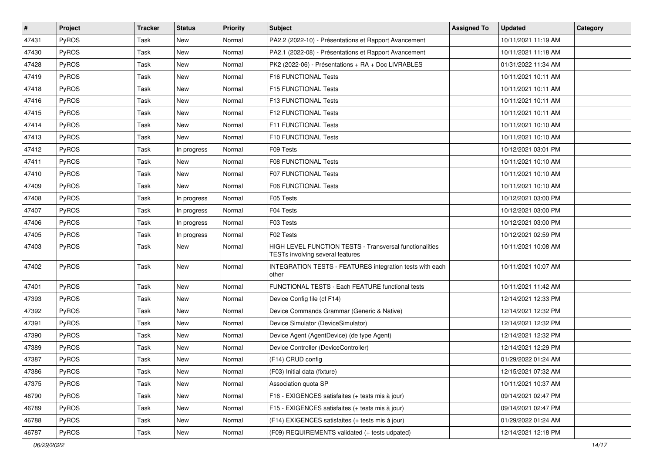| #     | Project      | <b>Tracker</b> | <b>Status</b> | <b>Priority</b> | <b>Subject</b>                                                                              | <b>Assigned To</b> | <b>Updated</b>      | <b>Category</b> |
|-------|--------------|----------------|---------------|-----------------|---------------------------------------------------------------------------------------------|--------------------|---------------------|-----------------|
| 47431 | <b>PyROS</b> | Task           | New           | Normal          | PA2.2 (2022-10) - Présentations et Rapport Avancement                                       |                    | 10/11/2021 11:19 AM |                 |
| 47430 | PyROS        | Task           | <b>New</b>    | Normal          | PA2.1 (2022-08) - Présentations et Rapport Avancement                                       |                    | 10/11/2021 11:18 AM |                 |
| 47428 | PyROS        | Task           | New           | Normal          | PK2 (2022-06) - Présentations + RA + Doc LIVRABLES                                          |                    | 01/31/2022 11:34 AM |                 |
| 47419 | PyROS        | Task           | <b>New</b>    | Normal          | F16 FUNCTIONAL Tests                                                                        |                    | 10/11/2021 10:11 AM |                 |
| 47418 | PyROS        | Task           | <b>New</b>    | Normal          | F15 FUNCTIONAL Tests                                                                        |                    | 10/11/2021 10:11 AM |                 |
| 47416 | PyROS        | Task           | New           | Normal          | F13 FUNCTIONAL Tests                                                                        |                    | 10/11/2021 10:11 AM |                 |
| 47415 | PyROS        | Task           | New           | Normal          | F12 FUNCTIONAL Tests                                                                        |                    | 10/11/2021 10:11 AM |                 |
| 47414 | PyROS        | Task           | <b>New</b>    | Normal          | F11 FUNCTIONAL Tests                                                                        |                    | 10/11/2021 10:10 AM |                 |
| 47413 | PyROS        | Task           | <b>New</b>    | Normal          | F10 FUNCTIONAL Tests                                                                        |                    | 10/11/2021 10:10 AM |                 |
| 47412 | PyROS        | Task           | In progress   | Normal          | F09 Tests                                                                                   |                    | 10/12/2021 03:01 PM |                 |
| 47411 | PyROS        | Task           | New           | Normal          | F08 FUNCTIONAL Tests                                                                        |                    | 10/11/2021 10:10 AM |                 |
| 47410 | PyROS        | Task           | <b>New</b>    | Normal          | <b>F07 FUNCTIONAL Tests</b>                                                                 |                    | 10/11/2021 10:10 AM |                 |
| 47409 | PyROS        | Task           | New           | Normal          | F06 FUNCTIONAL Tests                                                                        |                    | 10/11/2021 10:10 AM |                 |
| 47408 | <b>PyROS</b> | Task           | In progress   | Normal          | F05 Tests                                                                                   |                    | 10/12/2021 03:00 PM |                 |
| 47407 | PyROS        | Task           | In progress   | Normal          | F04 Tests                                                                                   |                    | 10/12/2021 03:00 PM |                 |
| 47406 | PyROS        | Task           | In progress   | Normal          | F03 Tests                                                                                   |                    | 10/12/2021 03:00 PM |                 |
| 47405 | PyROS        | Task           | In progress   | Normal          | F02 Tests                                                                                   |                    | 10/12/2021 02:59 PM |                 |
| 47403 | PyROS        | Task           | <b>New</b>    | Normal          | HIGH LEVEL FUNCTION TESTS - Transversal functionalities<br>TESTs involving several features |                    | 10/11/2021 10:08 AM |                 |
| 47402 | PyROS        | Task           | <b>New</b>    | Normal          | INTEGRATION TESTS - FEATURES integration tests with each<br>other                           |                    | 10/11/2021 10:07 AM |                 |
| 47401 | PyROS        | Task           | New           | Normal          | FUNCTIONAL TESTS - Each FEATURE functional tests                                            |                    | 10/11/2021 11:42 AM |                 |
| 47393 | PyROS        | Task           | New           | Normal          | Device Config file (cf F14)                                                                 |                    | 12/14/2021 12:33 PM |                 |
| 47392 | PyROS        | Task           | <b>New</b>    | Normal          | Device Commands Grammar (Generic & Native)                                                  |                    | 12/14/2021 12:32 PM |                 |
| 47391 | PyROS        | Task           | New           | Normal          | Device Simulator (DeviceSimulator)                                                          |                    | 12/14/2021 12:32 PM |                 |
| 47390 | PyROS        | Task           | <b>New</b>    | Normal          | Device Agent (AgentDevice) (de type Agent)                                                  |                    | 12/14/2021 12:32 PM |                 |
| 47389 | <b>PyROS</b> | Task           | New           | Normal          | Device Controller (DeviceController)                                                        |                    | 12/14/2021 12:29 PM |                 |
| 47387 | PyROS        | Task           | <b>New</b>    | Normal          | (F14) CRUD config                                                                           |                    | 01/29/2022 01:24 AM |                 |
| 47386 | PyROS        | Task           | New           | Normal          | (F03) Initial data (fixture)                                                                |                    | 12/15/2021 07:32 AM |                 |
| 47375 | PyROS        | Task           | New           | Normal          | Association quota SP                                                                        |                    | 10/11/2021 10:37 AM |                 |
| 46790 | PyROS        | Task           | New           | Normal          | F16 - EXIGENCES satisfaites (+ tests mis à jour)                                            |                    | 09/14/2021 02:47 PM |                 |
| 46789 | PyROS        | Task           | New           | Normal          | F15 - EXIGENCES satisfaites (+ tests mis à jour)                                            |                    | 09/14/2021 02:47 PM |                 |
| 46788 | PyROS        | Task           | New           | Normal          | (F14) EXIGENCES satisfaites (+ tests mis à jour)                                            |                    | 01/29/2022 01:24 AM |                 |
| 46787 | PyROS        | Task           | New           | Normal          | (F09) REQUIREMENTS validated (+ tests udpated)                                              |                    | 12/14/2021 12:18 PM |                 |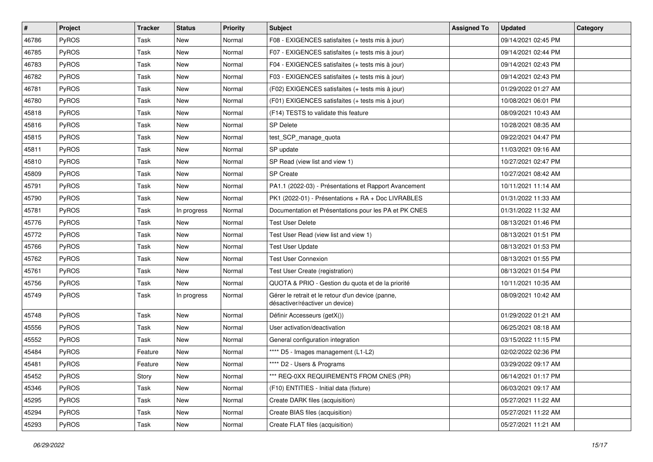| #     | <b>Project</b> | <b>Tracker</b> | <b>Status</b> | <b>Priority</b> | <b>Subject</b>                                                                       | <b>Assigned To</b> | <b>Updated</b>      | Category |
|-------|----------------|----------------|---------------|-----------------|--------------------------------------------------------------------------------------|--------------------|---------------------|----------|
| 46786 | PyROS          | Task           | New           | Normal          | F08 - EXIGENCES satisfaites (+ tests mis à jour)                                     |                    | 09/14/2021 02:45 PM |          |
| 46785 | PyROS          | Task           | <b>New</b>    | Normal          | F07 - EXIGENCES satisfaites (+ tests mis à jour)                                     |                    | 09/14/2021 02:44 PM |          |
| 46783 | <b>PyROS</b>   | Task           | New           | Normal          | F04 - EXIGENCES satisfaites (+ tests mis à jour)                                     |                    | 09/14/2021 02:43 PM |          |
| 46782 | PyROS          | Task           | New           | Normal          | F03 - EXIGENCES satisfaites (+ tests mis à jour)                                     |                    | 09/14/2021 02:43 PM |          |
| 46781 | PyROS          | Task           | New           | Normal          | (F02) EXIGENCES satisfaites (+ tests mis à jour)                                     |                    | 01/29/2022 01:27 AM |          |
| 46780 | PyROS          | Task           | <b>New</b>    | Normal          | (F01) EXIGENCES satisfaites (+ tests mis à jour)                                     |                    | 10/08/2021 06:01 PM |          |
| 45818 | PyROS          | Task           | <b>New</b>    | Normal          | (F14) TESTS to validate this feature                                                 |                    | 08/09/2021 10:43 AM |          |
| 45816 | <b>PyROS</b>   | Task           | New           | Normal          | SP Delete                                                                            |                    | 10/28/2021 08:35 AM |          |
| 45815 | PyROS          | Task           | New           | Normal          | test_SCP_manage_quota                                                                |                    | 09/22/2021 04:47 PM |          |
| 45811 | PyROS          | Task           | <b>New</b>    | Normal          | SP update                                                                            |                    | 11/03/2021 09:16 AM |          |
| 45810 | PyROS          | Task           | New           | Normal          | SP Read (view list and view 1)                                                       |                    | 10/27/2021 02:47 PM |          |
| 45809 | PyROS          | Task           | <b>New</b>    | Normal          | SP Create                                                                            |                    | 10/27/2021 08:42 AM |          |
| 45791 | PyROS          | Task           | New           | Normal          | PA1.1 (2022-03) - Présentations et Rapport Avancement                                |                    | 10/11/2021 11:14 AM |          |
| 45790 | PyROS          | Task           | <b>New</b>    | Normal          | PK1 (2022-01) - Présentations + RA + Doc LIVRABLES                                   |                    | 01/31/2022 11:33 AM |          |
| 45781 | PyROS          | Task           | In progress   | Normal          | Documentation et Présentations pour les PA et PK CNES                                |                    | 01/31/2022 11:32 AM |          |
| 45776 | <b>PyROS</b>   | Task           | New           | Normal          | <b>Test User Delete</b>                                                              |                    | 08/13/2021 01:46 PM |          |
| 45772 | PyROS          | Task           | <b>New</b>    | Normal          | Test User Read (view list and view 1)                                                |                    | 08/13/2021 01:51 PM |          |
| 45766 | PyROS          | Task           | New           | Normal          | <b>Test User Update</b>                                                              |                    | 08/13/2021 01:53 PM |          |
| 45762 | PyROS          | Task           | New           | Normal          | <b>Test User Connexion</b>                                                           |                    | 08/13/2021 01:55 PM |          |
| 45761 | PyROS          | Task           | <b>New</b>    | Normal          | Test User Create (registration)                                                      |                    | 08/13/2021 01:54 PM |          |
| 45756 | PyROS          | Task           | <b>New</b>    | Normal          | QUOTA & PRIO - Gestion du quota et de la priorité                                    |                    | 10/11/2021 10:35 AM |          |
| 45749 | <b>PyROS</b>   | Task           | In progress   | Normal          | Gérer le retrait et le retour d'un device (panne,<br>désactiver/réactiver un device) |                    | 08/09/2021 10:42 AM |          |
| 45748 | PyROS          | Task           | New           | Normal          | Définir Accesseurs (getX())                                                          |                    | 01/29/2022 01:21 AM |          |
| 45556 | PyROS          | Task           | <b>New</b>    | Normal          | User activation/deactivation                                                         |                    | 06/25/2021 08:18 AM |          |
| 45552 | PyROS          | Task           | New           | Normal          | General configuration integration                                                    |                    | 03/15/2022 11:15 PM |          |
| 45484 | PyROS          | Feature        | New           | Normal          | **** D5 - Images management (L1-L2)                                                  |                    | 02/02/2022 02:36 PM |          |
| 45481 | PyROS          | Feature        | New           | Normal          | **** D2 - Users & Programs                                                           |                    | 03/29/2022 09:17 AM |          |
| 45452 | PyROS          | Story          | New           | Normal          | *** REQ-0XX REQUIREMENTS FROM CNES (PR)                                              |                    | 06/14/2021 01:17 PM |          |
| 45346 | PyROS          | Task           | New           | Normal          | (F10) ENTITIES - Initial data (fixture)                                              |                    | 06/03/2021 09:17 AM |          |
| 45295 | PyROS          | Task           | New           | Normal          | Create DARK files (acquisition)                                                      |                    | 05/27/2021 11:22 AM |          |
| 45294 | <b>PyROS</b>   | Task           | New           | Normal          | Create BIAS files (acquisition)                                                      |                    | 05/27/2021 11:22 AM |          |
| 45293 | PyROS          | Task           | New           | Normal          | Create FLAT files (acquisition)                                                      |                    | 05/27/2021 11:21 AM |          |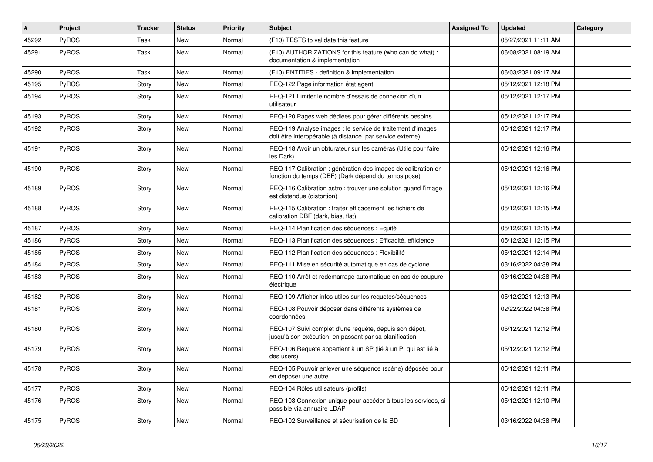| ∦     | Project      | <b>Tracker</b> | <b>Status</b> | <b>Priority</b> | <b>Subject</b>                                                                                                          | <b>Assigned To</b> | <b>Updated</b>      | Category |
|-------|--------------|----------------|---------------|-----------------|-------------------------------------------------------------------------------------------------------------------------|--------------------|---------------------|----------|
| 45292 | PyROS        | Task           | <b>New</b>    | Normal          | (F10) TESTS to validate this feature                                                                                    |                    | 05/27/2021 11:11 AM |          |
| 45291 | PyROS        | Task           | <b>New</b>    | Normal          | (F10) AUTHORIZATIONS for this feature (who can do what) :<br>documentation & implementation                             |                    | 06/08/2021 08:19 AM |          |
| 45290 | PyROS        | Task           | <b>New</b>    | Normal          | (F10) ENTITIES - definition & implementation                                                                            |                    | 06/03/2021 09:17 AM |          |
| 45195 | PyROS        | Story          | <b>New</b>    | Normal          | REQ-122 Page information état agent                                                                                     |                    | 05/12/2021 12:18 PM |          |
| 45194 | <b>PyROS</b> | Story          | <b>New</b>    | Normal          | REQ-121 Limiter le nombre d'essais de connexion d'un<br>utilisateur                                                     |                    | 05/12/2021 12:17 PM |          |
| 45193 | PyROS        | Story          | New           | Normal          | REQ-120 Pages web dédiées pour gérer différents besoins                                                                 |                    | 05/12/2021 12:17 PM |          |
| 45192 | <b>PyROS</b> | Story          | New           | Normal          | REQ-119 Analyse images : le service de traitement d'images<br>doit être interopérable (à distance, par service externe) |                    | 05/12/2021 12:17 PM |          |
| 45191 | PyROS        | Story          | <b>New</b>    | Normal          | REQ-118 Avoir un obturateur sur les caméras (Utile pour faire<br>les Dark)                                              |                    | 05/12/2021 12:16 PM |          |
| 45190 | PyROS        | Story          | <b>New</b>    | Normal          | REQ-117 Calibration : génération des images de calibration en<br>fonction du temps (DBF) (Dark dépend du temps pose)    |                    | 05/12/2021 12:16 PM |          |
| 45189 | PyROS        | Story          | New           | Normal          | REQ-116 Calibration astro: trouver une solution quand l'image<br>est distendue (distortion)                             |                    | 05/12/2021 12:16 PM |          |
| 45188 | PyROS        | Story          | <b>New</b>    | Normal          | REQ-115 Calibration : traiter efficacement les fichiers de<br>calibration DBF (dark, bias, flat)                        |                    | 05/12/2021 12:15 PM |          |
| 45187 | <b>PyROS</b> | Story          | <b>New</b>    | Normal          | REQ-114 Planification des séquences : Equité                                                                            |                    | 05/12/2021 12:15 PM |          |
| 45186 | <b>PyROS</b> | Story          | <b>New</b>    | Normal          | REQ-113 Planification des séquences : Efficacité, efficience                                                            |                    | 05/12/2021 12:15 PM |          |
| 45185 | PyROS        | Story          | <b>New</b>    | Normal          | REQ-112 Planification des séquences : Flexibilité                                                                       |                    | 05/12/2021 12:14 PM |          |
| 45184 | PyROS        | Story          | New           | Normal          | REQ-111 Mise en sécurité automatique en cas de cyclone                                                                  |                    | 03/16/2022 04:38 PM |          |
| 45183 | PyROS        | Story          | New           | Normal          | REQ-110 Arrêt et redémarrage automatique en cas de coupure<br>électrique                                                |                    | 03/16/2022 04:38 PM |          |
| 45182 | <b>PyROS</b> | Story          | New           | Normal          | REQ-109 Afficher infos utiles sur les requetes/séquences                                                                |                    | 05/12/2021 12:13 PM |          |
| 45181 | <b>PyROS</b> | Story          | New           | Normal          | REQ-108 Pouvoir déposer dans différents systèmes de<br>coordonnées                                                      |                    | 02/22/2022 04:38 PM |          |
| 45180 | PyROS        | Story          | New           | Normal          | REQ-107 Suivi complet d'une requête, depuis son dépot,<br>jusqu'à son exécution, en passant par sa planification        |                    | 05/12/2021 12:12 PM |          |
| 45179 | PyROS        | Story          | New           | Normal          | REQ-106 Requete appartient à un SP (lié à un PI qui est lié à<br>des users)                                             |                    | 05/12/2021 12:12 PM |          |
| 45178 | <b>PyROS</b> | Story          | New           | Normal          | REQ-105 Pouvoir enlever une séquence (scène) déposée pour<br>en déposer une autre                                       |                    | 05/12/2021 12:11 PM |          |
| 45177 | PyROS        | Story          | New           | Normal          | REQ-104 Rôles utilisateurs (profils)                                                                                    |                    | 05/12/2021 12:11 PM |          |
| 45176 | PyROS        | Story          | New           | Normal          | REQ-103 Connexion unique pour accéder à tous les services, si<br>possible via annuaire LDAP                             |                    | 05/12/2021 12:10 PM |          |
| 45175 | PyROS        | Story          | <b>New</b>    | Normal          | REQ-102 Surveillance et sécurisation de la BD                                                                           |                    | 03/16/2022 04:38 PM |          |